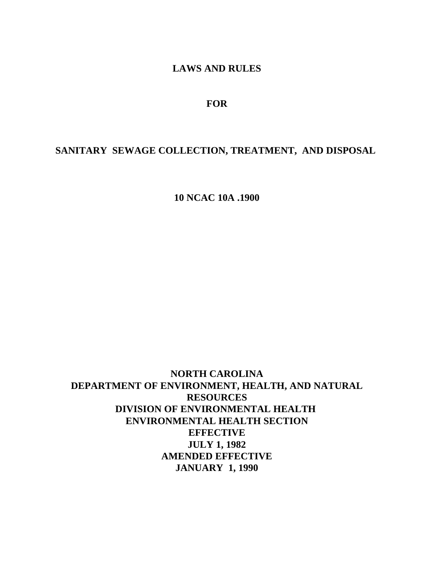# **LAWS AND RULES**

## **FOR**

# **SANITARY SEWAGE COLLECTION, TREATMENT, AND DISPOSAL**

**10 NCAC 10A .1900**

**NORTH CAROLINA DEPARTMENT OF ENVIRONMENT, HEALTH, AND NATURAL RESOURCES DIVISION OF ENVIRONMENTAL HEALTH ENVIRONMENTAL HEALTH SECTION EFFECTIVE JULY 1, 1982 AMENDED EFFECTIVE JANUARY 1, 1990**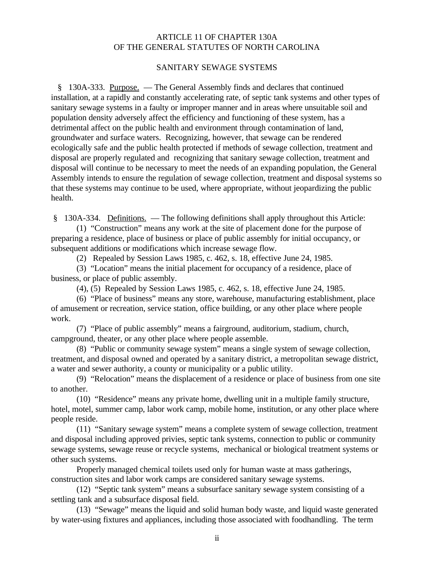## ARTICLE 11 OF CHAPTER 130A OF THE GENERAL STATUTES OF NORTH CAROLINA

#### SANITARY SEWAGE SYSTEMS

 § 130A-333. Purpose. — The General Assembly finds and declares that continued installation, at a rapidly and constantly accelerating rate, of septic tank systems and other types of sanitary sewage systems in a faulty or improper manner and in areas where unsuitable soil and population density adversely affect the efficiency and functioning of these system, has a detrimental affect on the public health and environment through contamination of land, groundwater and surface waters. Recognizing, however, that sewage can be rendered ecologically safe and the public health protected if methods of sewage collection, treatment and disposal are properly regulated and recognizing that sanitary sewage collection, treatment and disposal will continue to be necessary to meet the needs of an expanding population, the General Assembly intends to ensure the regulation of sewage collection, treatment and disposal systems so that these systems may continue to be used, where appropriate, without jeopardizing the public health.

§ 130A-334. Definitions. — The following definitions shall apply throughout this Article:

(1) "Construction" means any work at the site of placement done for the purpose of preparing a residence, place of business or place of public assembly for initial occupancy, or subsequent additions or modifications which increase sewage flow.

(2) Repealed by Session Laws 1985, c. 462, s. 18, effective June 24, 1985.

(3) "Location" means the initial placement for occupancy of a residence, place of business, or place of public assembly.

(4), (5) Repealed by Session Laws 1985, c. 462, s. 18, effective June 24, 1985.

(6) "Place of business" means any store, warehouse, manufacturing establishment, place of amusement or recreation, service station, office building, or any other place where people work.

(7) "Place of public assembly" means a fairground, auditorium, stadium, church, campground, theater, or any other place where people assemble.

(8) "Public or community sewage system" means a single system of sewage collection, treatment, and disposal owned and operated by a sanitary district, a metropolitan sewage district, a water and sewer authority, a county or municipality or a public utility.

(9) "Relocation" means the displacement of a residence or place of business from one site to another.

(10) "Residence" means any private home, dwelling unit in a multiple family structure, hotel, motel, summer camp, labor work camp, mobile home, institution, or any other place where people reside.

(11) "Sanitary sewage system" means a complete system of sewage collection, treatment and disposal including approved privies, septic tank systems, connection to public or community sewage systems, sewage reuse or recycle systems, mechanical or biological treatment systems or other such systems.

Properly managed chemical toilets used only for human waste at mass gatherings, construction sites and labor work camps are considered sanitary sewage systems.

(12) "Septic tank system" means a subsurface sanitary sewage system consisting of a settling tank and a subsurface disposal field.

(13) "Sewage" means the liquid and solid human body waste, and liquid waste generated by water-using fixtures and appliances, including those associated with foodhandling. The term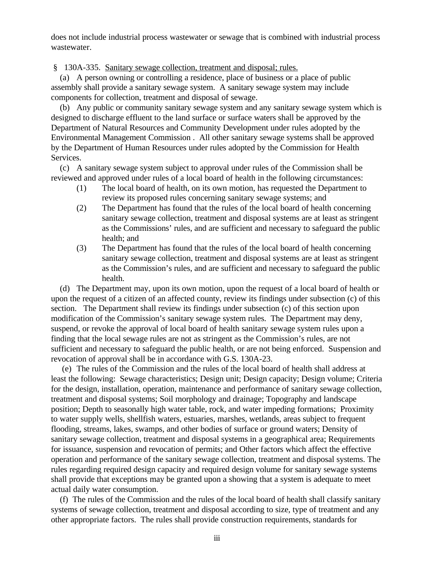does not include industrial process wastewater or sewage that is combined with industrial process wastewater.

§ 130A-335. Sanitary sewage collection, treatment and disposal; rules.

 (a) A person owning or controlling a residence, place of business or a place of public assembly shall provide a sanitary sewage system. A sanitary sewage system may include components for collection, treatment and disposal of sewage.

 (b) Any public or community sanitary sewage system and any sanitary sewage system which is designed to discharge effluent to the land surface or surface waters shall be approved by the Department of Natural Resources and Community Development under rules adopted by the Environmental Management Commission . All other sanitary sewage systems shall be approved by the Department of Human Resources under rules adopted by the Commission for Health Services.

 (c) A sanitary sewage system subject to approval under rules of the Commission shall be reviewed and approved under rules of a local board of health in the following circumstances:

- (1) The local board of health, on its own motion, has requested the Department to review its proposed rules concerning sanitary sewage systems; and
- (2) The Department has found that the rules of the local board of health concerning sanitary sewage collection, treatment and disposal systems are at least as stringent as the Commissions' rules, and are sufficient and necessary to safeguard the public health; and
- (3) The Department has found that the rules of the local board of health concerning sanitary sewage collection, treatment and disposal systems are at least as stringent as the Commission's rules, and are sufficient and necessary to safeguard the public health.

 (d) The Department may, upon its own motion, upon the request of a local board of health or upon the request of a citizen of an affected county, review its findings under subsection (c) of this section. The Department shall review its findings under subsection (c) of this section upon modification of the Commission's sanitary sewage system rules. The Department may deny, suspend, or revoke the approval of local board of health sanitary sewage system rules upon a finding that the local sewage rules are not as stringent as the Commission's rules, are not sufficient and necessary to safeguard the public health, or are not being enforced. Suspension and revocation of approval shall be in accordance with G.S. 130A-23.

 (e) The rules of the Commission and the rules of the local board of health shall address at least the following: Sewage characteristics; Design unit; Design capacity; Design volume; Criteria for the design, installation, operation, maintenance and performance of sanitary sewage collection, treatment and disposal systems; Soil morphology and drainage; Topography and landscape position; Depth to seasonally high water table, rock, and water impeding formations; Proximity to water supply wells, shellfish waters, estuaries, marshes, wetlands, areas subject to frequent flooding, streams, lakes, swamps, and other bodies of surface or ground waters; Density of sanitary sewage collection, treatment and disposal systems in a geographical area; Requirements for issuance, suspension and revocation of permits; and Other factors which affect the effective operation and performance of the sanitary sewage collection, treatment and disposal systems. The rules regarding required design capacity and required design volume for sanitary sewage systems shall provide that exceptions may be granted upon a showing that a system is adequate to meet actual daily water consumption.

 (f) The rules of the Commission and the rules of the local board of health shall classify sanitary systems of sewage collection, treatment and disposal according to size, type of treatment and any other appropriate factors. The rules shall provide construction requirements, standards for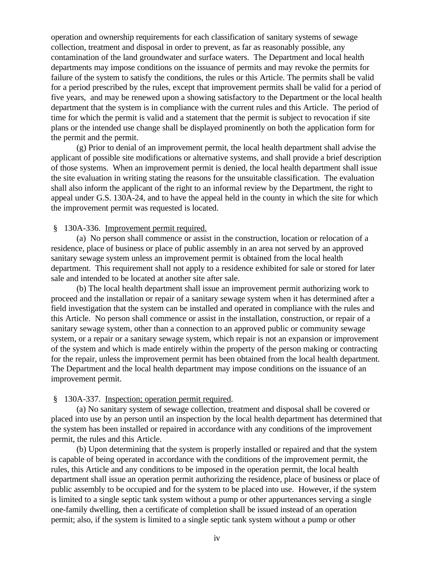operation and ownership requirements for each classification of sanitary systems of sewage collection, treatment and disposal in order to prevent, as far as reasonably possible, any contamination of the land groundwater and surface waters. The Department and local health departments may impose conditions on the issuance of permits and may revoke the permits for failure of the system to satisfy the conditions, the rules or this Article. The permits shall be valid for a period prescribed by the rules, except that improvement permits shall be valid for a period of five years, and may be renewed upon a showing satisfactory to the Department or the local health department that the system is in compliance with the current rules and this Article. The period of time for which the permit is valid and a statement that the permit is subject to revocation if site plans or the intended use change shall be displayed prominently on both the application form for the permit and the permit.

(g) Prior to denial of an improvement permit, the local health department shall advise the applicant of possible site modifications or alternative systems, and shall provide a brief description of those systems. When an improvement permit is denied, the local health department shall issue the site evaluation in writing stating the reasons for the unsuitable classification. The evaluation shall also inform the applicant of the right to an informal review by the Department, the right to appeal under G.S. 130A-24, and to have the appeal held in the county in which the site for which the improvement permit was requested is located.

### § 130A-336. Improvement permit required.

(a) No person shall commence or assist in the construction, location or relocation of a residence, place of business or place of public assembly in an area not served by an approved sanitary sewage system unless an improvement permit is obtained from the local health department. This requirement shall not apply to a residence exhibited for sale or stored for later sale and intended to be located at another site after sale.

(b) The local health department shall issue an improvement permit authorizing work to proceed and the installation or repair of a sanitary sewage system when it has determined after a field investigation that the system can be installed and operated in compliance with the rules and this Article. No person shall commence or assist in the installation, construction, or repair of a sanitary sewage system, other than a connection to an approved public or community sewage system, or a repair or a sanitary sewage system, which repair is not an expansion or improvement of the system and which is made entirely within the property of the person making or contracting for the repair, unless the improvement permit has been obtained from the local health department. The Department and the local health department may impose conditions on the issuance of an improvement permit.

#### § 130A-337. Inspection; operation permit required.

(a) No sanitary system of sewage collection, treatment and disposal shall be covered or placed into use by an person until an inspection by the local health department has determined that the system has been installed or repaired in accordance with any conditions of the improvement permit, the rules and this Article.

(b) Upon determining that the system is properly installed or repaired and that the system is capable of being operated in accordance with the conditions of the improvement permit, the rules, this Article and any conditions to be imposed in the operation permit, the local health department shall issue an operation permit authorizing the residence, place of business or place of public assembly to be occupied and for the system to be placed into use. However, if the system is limited to a single septic tank system without a pump or other appurtenances serving a single one-family dwelling, then a certificate of completion shall be issued instead of an operation permit; also, if the system is limited to a single septic tank system without a pump or other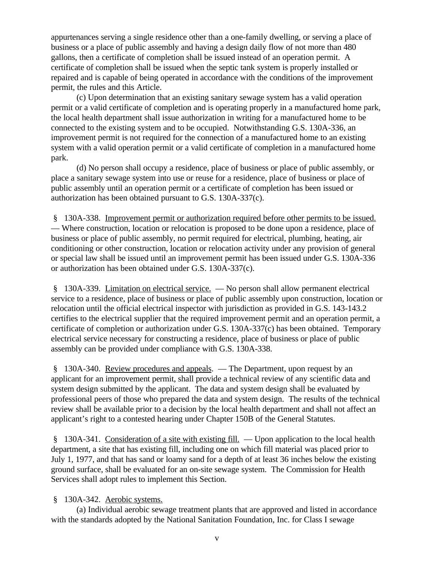appurtenances serving a single residence other than a one-family dwelling, or serving a place of business or a place of public assembly and having a design daily flow of not more than 480 gallons, then a certificate of completion shall be issued instead of an operation permit. A certificate of completion shall be issued when the septic tank system is properly installed or repaired and is capable of being operated in accordance with the conditions of the improvement permit, the rules and this Article.

(c) Upon determination that an existing sanitary sewage system has a valid operation permit or a valid certificate of completion and is operating properly in a manufactured home park, the local health department shall issue authorization in writing for a manufactured home to be connected to the existing system and to be occupied. Notwithstanding G.S. 130A-336, an improvement permit is not required for the connection of a manufactured home to an existing system with a valid operation permit or a valid certificate of completion in a manufactured home park.

(d) No person shall occupy a residence, place of business or place of public assembly, or place a sanitary sewage system into use or reuse for a residence, place of business or place of public assembly until an operation permit or a certificate of completion has been issued or authorization has been obtained pursuant to G.S. 130A-337(c).

 § 130A-338. Improvement permit or authorization required before other permits to be issued. — Where construction, location or relocation is proposed to be done upon a residence, place of business or place of public assembly, no permit required for electrical, plumbing, heating, air conditioning or other construction, location or relocation activity under any provision of general or special law shall be issued until an improvement permit has been issued under G.S. 130A-336 or authorization has been obtained under G.S. 130A-337(c).

 § 130A-339. Limitation on electrical service. — No person shall allow permanent electrical service to a residence, place of business or place of public assembly upon construction, location or relocation until the official electrical inspector with jurisdiction as provided in G.S. 143-143.2 certifies to the electrical supplier that the required improvement permit and an operation permit, a certificate of completion or authorization under G.S. 130A-337(c) has been obtained. Temporary electrical service necessary for constructing a residence, place of business or place of public assembly can be provided under compliance with G.S. 130A-338.

§ 130A-340. Review procedures and appeals. — The Department, upon request by an applicant for an improvement permit, shall provide a technical review of any scientific data and system design submitted by the applicant. The data and system design shall be evaluated by professional peers of those who prepared the data and system design. The results of the technical review shall be available prior to a decision by the local health department and shall not affect an applicant's right to a contested hearing under Chapter 150B of the General Statutes.

 § 130A-341. Consideration of a site with existing fill. — Upon application to the local health department, a site that has existing fill, including one on which fill material was placed prior to July 1, 1977, and that has sand or loamy sand for a depth of at least 36 inches below the existing ground surface, shall be evaluated for an on-site sewage system. The Commission for Health Services shall adopt rules to implement this Section.

## § 130A-342. Aerobic systems.

(a) Individual aerobic sewage treatment plants that are approved and listed in accordance with the standards adopted by the National Sanitation Foundation, Inc. for Class I sewage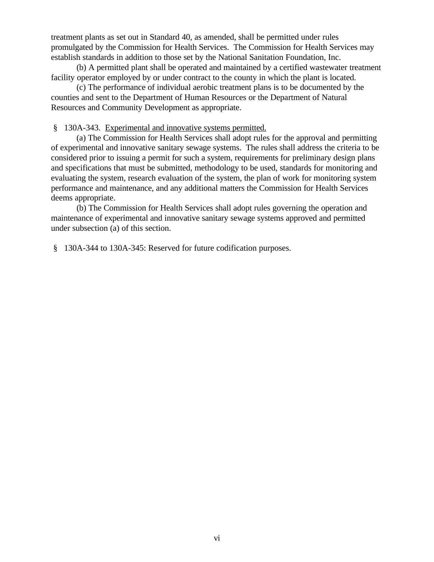treatment plants as set out in Standard 40, as amended, shall be permitted under rules promulgated by the Commission for Health Services. The Commission for Health Services may establish standards in addition to those set by the National Sanitation Foundation, Inc.

(b) A permitted plant shall be operated and maintained by a certified wastewater treatment facility operator employed by or under contract to the county in which the plant is located.

(c) The performance of individual aerobic treatment plans is to be documented by the counties and sent to the Department of Human Resources or the Department of Natural Resources and Community Development as appropriate.

§ 130A-343. Experimental and innovative systems permitted.

(a) The Commission for Health Services shall adopt rules for the approval and permitting of experimental and innovative sanitary sewage systems. The rules shall address the criteria to be considered prior to issuing a permit for such a system, requirements for preliminary design plans and specifications that must be submitted, methodology to be used, standards for monitoring and evaluating the system, research evaluation of the system, the plan of work for monitoring system performance and maintenance, and any additional matters the Commission for Health Services deems appropriate.

(b) The Commission for Health Services shall adopt rules governing the operation and maintenance of experimental and innovative sanitary sewage systems approved and permitted under subsection (a) of this section.

§ 130A-344 to 130A-345: Reserved for future codification purposes.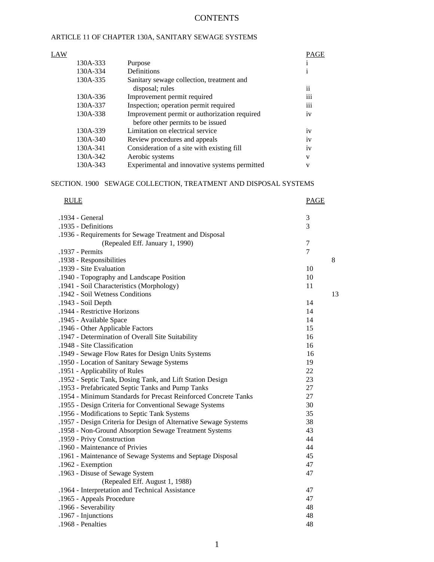## **CONTENTS**

## ARTICLE 11 OF CHAPTER 130A, SANITARY SEWAGE SYSTEMS

| LAW |          |                                               | PAGE            |
|-----|----------|-----------------------------------------------|-----------------|
|     | 130A-333 | Purpose                                       |                 |
|     | 130A-334 | Definitions                                   |                 |
|     | 130A-335 | Sanitary sewage collection, treatment and     |                 |
|     |          | disposal; rules                               | $\mathbf{ii}$   |
|     | 130A-336 | Improvement permit required                   | $\cdots$<br>111 |
|     | 130A-337 | Inspection; operation permit required         | iii             |
|     | 130A-338 | Improvement permit or authorization required  | 1V              |
|     |          | before other permits to be issued             |                 |
|     | 130A-339 | Limitation on electrical service              | iv              |
|     | 130A-340 | Review procedures and appeals                 | iv              |
|     | 130A-341 | Consideration of a site with existing fill    | 1V              |
|     | 130A-342 | Aerobic systems                               | V               |
|     | 130A-343 | Experimental and innovative systems permitted | V               |
|     |          |                                               |                 |

#### SECTION. 1900 SEWAGE COLLECTION, TREATMENT AND DISPOSAL SYSTEMS

| <b>RULE</b>                                                      | <b>PAGE</b>    |    |
|------------------------------------------------------------------|----------------|----|
| .1934 - General                                                  | 3              |    |
| .1935 - Definitions                                              | 3              |    |
| .1936 - Requirements for Sewage Treatment and Disposal           |                |    |
| (Repealed Eff. January 1, 1990)                                  | 7              |    |
| .1937 - Permits                                                  | $\overline{7}$ |    |
| .1938 - Responsibilities                                         |                | 8  |
| .1939 - Site Evaluation                                          | 10             |    |
| .1940 - Topography and Landscape Position                        | 10             |    |
| .1941 - Soil Characteristics (Morphology)                        | 11             |    |
| .1942 - Soil Wetness Conditions                                  |                | 13 |
| .1943 - Soil Depth                                               | 14             |    |
| .1944 - Restrictive Horizons                                     | 14             |    |
| .1945 - Available Space                                          | 14             |    |
| .1946 - Other Applicable Factors                                 | 15             |    |
| .1947 - Determination of Overall Site Suitability                | 16             |    |
| .1948 - Site Classification                                      | 16             |    |
| .1949 - Sewage Flow Rates for Design Units Systems               | 16             |    |
| .1950 - Location of Sanitary Sewage Systems                      | 19             |    |
| .1951 - Applicability of Rules                                   | 22             |    |
| .1952 - Septic Tank, Dosing Tank, and Lift Station Design        | 23             |    |
| .1953 - Prefabricated Septic Tanks and Pump Tanks                | 27             |    |
| .1954 - Minimum Standards for Precast Reinforced Concrete Tanks  | 27             |    |
| .1955 - Design Criteria for Conventional Sewage Systems          | 30             |    |
| .1956 - Modifications to Septic Tank Systems                     | 35             |    |
| .1957 - Design Criteria for Design of Alternative Sewage Systems | 38             |    |
| .1958 - Non-Ground Absorption Sewage Treatment Systems           | 43             |    |
| .1959 - Privy Construction                                       | 44             |    |
| .1960 - Maintenance of Privies                                   | 44             |    |
| .1961 - Maintenance of Sewage Systems and Septage Disposal       | 45             |    |
| .1962 - Exemption                                                | 47             |    |
| .1963 - Disuse of Sewage System                                  | 47             |    |
| (Repealed Eff. August 1, 1988)                                   |                |    |
| .1964 - Interpretation and Technical Assistance                  | 47             |    |
| .1965 - Appeals Procedure                                        | 47             |    |
| .1966 - Severability                                             | 48             |    |
| .1967 - Injunctions                                              | 48             |    |
| .1968 - Penalties                                                | 48             |    |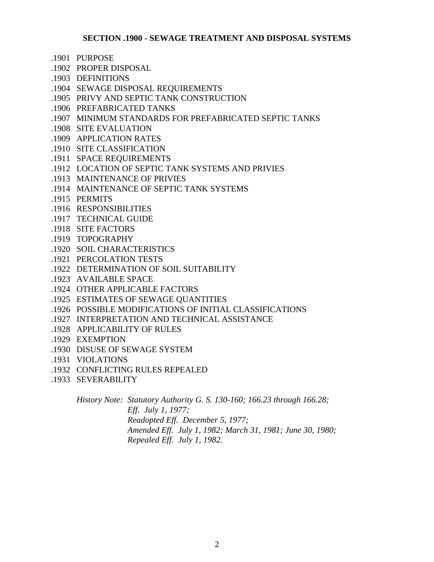## **SECTION .1900 - SEWAGE TREATMENT AND DISPOSAL SYSTEMS**

- .1901 PURPOSE
- .1902 PROPER DISPOSAL
- .1903 DEFINITIONS
- .1904 SEWAGE DISPOSAL REQUIREMENTS
- .1905 PRIVY AND SEPTIC TANK CONSTRUCTION
- .1906 PREFABRICATED TANKS
- .1907 MINIMUM STANDARDS FOR PREFABRICATED SEPTIC TANKS
- .1908 SITE EVALUATION
- .1909 APPLICATION RATES
- .1910 SITE CLASSIFICATION
- .1911 SPACE REQUIREMENTS
- .1912 LOCATION OF SEPTIC TANK SYSTEMS AND PRIVIES
- .1913 MAINTENANCE OF PRIVIES
- .1914 MAINTENANCE OF SEPTIC TANK SYSTEMS
- .1915 PERMITS
- .1916 RESPONSIBILITIES
- .1917 TECHNICAL GUIDE
- .1918 SITE FACTORS
- .1919 TOPOGRAPHY
- .1920 SOIL CHARACTERISTICS
- .1921 PERCOLATION TESTS
- .1922 DETERMINATION OF SOIL SUITABILITY
- .1923 AVAILABLE SPACE
- .1924 OTHER APPLICABLE FACTORS
- .1925 ESTIMATES OF SEWAGE QUANTITIES
- .1926 POSSIBLE MODIFICATIONS OF INITIAL CLASSIFICATIONS
- .1927 INTERPRETATION AND TECHNICAL ASSISTANCE
- .1928 APPLICABILITY OF RULES
- .1929 EXEMPTION
- .1930 DISUSE OF SEWAGE SYSTEM
- .1931 VIOLATIONS
- .1932 CONFLICTING RULES REPEALED
- .1933 SEVERABILITY

*History Note: Statutory Authority G. S. 130-160; 166.23 through 166.28; Eff. July 1, 1977; Readopted Eff. December 5, 1977; Amended Eff. July 1, 1982; March 31, 1981; June 30, 1980; Repealed Eff. July 1, 1982.*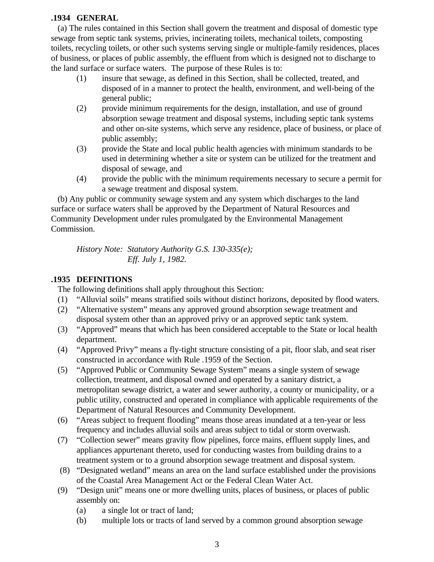## **.1934 GENERAL**

 (a) The rules contained in this Section shall govern the treatment and disposal of domestic type sewage from septic tank systems, privies, incinerating toilets, mechanical toilets, composting toilets, recycling toilets, or other such systems serving single or multiple-family residences, places of business, or places of public assembly, the effluent from which is designed not to discharge to the land surface or surface waters. The purpose of these Rules is to:

- (1) insure that sewage, as defined in this Section, shall be collected, treated, and disposed of in a manner to protect the health, environment, and well-being of the general public;
- (2) provide minimum requirements for the design, installation, and use of ground absorption sewage treatment and disposal systems, including septic tank systems and other on-site systems, which serve any residence, place of business, or place of public assembly;
- (3) provide the State and local public health agencies with minimum standards to be used in determining whether a site or system can be utilized for the treatment and disposal of sewage, and
- (4) provide the public with the minimum requirements necessary to secure a permit for a sewage treatment and disposal system.

 (b) Any public or community sewage system and any system which discharges to the land surface or surface waters shall be approved by the Department of Natural Resources and Community Development under rules promulgated by the Environmental Management Commission.

*History Note: Statutory Authority G.S. 130-335(e); Eff. July 1, 1982.*

## **.1935 DEFINITIONS**

The following definitions shall apply throughout this Section:

- (1) "Alluvial soils" means stratified soils without distinct horizons, deposited by flood waters.
- (2) "Alternative system" means any approved ground absorption sewage treatment and disposal system other than an approved privy or an approved septic tank system.
- (3) "Approved" means that which has been considered acceptable to the State or local health department.
- (4) "Approved Privy" means a fly-tight structure consisting of a pit, floor slab, and seat riser constructed in accordance with Rule .1959 of the Section.
- (5) "Approved Public or Community Sewage System" means a single system of sewage collection, treatment, and disposal owned and operated by a sanitary district, a metropolitan sewage district, a water and sewer authority, a county or municipality, or a public utility, constructed and operated in compliance with applicable requirements of the Department of Natural Resources and Community Development.
- (6) "Areas subject to frequent flooding" means those areas inundated at a ten-year or less frequency and includes alluvial soils and areas subject to tidal or storm overwash.
- (7) "Collection sewer" means gravity flow pipelines, force mains, effluent supply lines, and appliances appurtenant thereto, used for conducting wastes from building drains to a treatment system or to a ground absorption sewage treatment and disposal system.
- (8) "Designated wetland" means an area on the land surface established under the provisions of the Coastal Area Management Act or the Federal Clean Water Act.
- (9) "Design unit" means one or more dwelling units, places of business, or places of public assembly on:
	- (a) a single lot or tract of land;
	- (b) multiple lots or tracts of land served by a common ground absorption sewage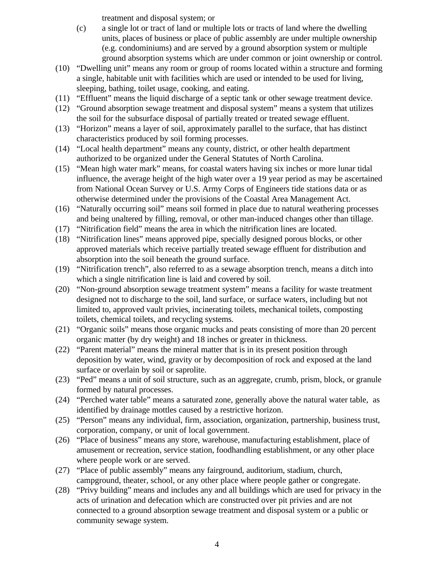treatment and disposal system; or

- (c) a single lot or tract of land or multiple lots or tracts of land where the dwelling units, places of business or place of public assembly are under multiple ownership (e.g. condominiums) and are served by a ground absorption system or multiple ground absorption systems which are under common or joint ownership or control.
- (10) "Dwelling unit" means any room or group of rooms located within a structure and forming a single, habitable unit with facilities which are used or intended to be used for living, sleeping, bathing, toilet usage, cooking, and eating.
- (11) "Effluent" means the liquid discharge of a septic tank or other sewage treatment device.
- (12) "Ground absorption sewage treatment and disposal system" means a system that utilizes the soil for the subsurface disposal of partially treated or treated sewage effluent.
- (13) "Horizon" means a layer of soil, approximately parallel to the surface, that has distinct characteristics produced by soil forming processes.
- (14) "Local health department" means any county, district, or other health department authorized to be organized under the General Statutes of North Carolina.
- (15) "Mean high water mark" means, for coastal waters having six inches or more lunar tidal influence, the average height of the high water over a 19 year period as may be ascertained from National Ocean Survey or U.S. Army Corps of Engineers tide stations data or as otherwise determined under the provisions of the Coastal Area Management Act.
- (16) "Naturally occurring soil" means soil formed in place due to natural weathering processes and being unaltered by filling, removal, or other man-induced changes other than tillage.
- (17) "Nitrification field" means the area in which the nitrification lines are located.
- (18) "Nitrification lines" means approved pipe, specially designed porous blocks, or other approved materials which receive partially treated sewage effluent for distribution and absorption into the soil beneath the ground surface.
- (19) "Nitrification trench", also referred to as a sewage absorption trench, means a ditch into which a single nitrification line is laid and covered by soil.
- (20) "Non-ground absorption sewage treatment system" means a facility for waste treatment designed not to discharge to the soil, land surface, or surface waters, including but not limited to, approved vault privies, incinerating toilets, mechanical toilets, composting toilets, chemical toilets, and recycling systems.
- (21) "Organic soils" means those organic mucks and peats consisting of more than 20 percent organic matter (by dry weight) and 18 inches or greater in thickness.
- (22) "Parent material" means the mineral matter that is in its present position through deposition by water, wind, gravity or by decomposition of rock and exposed at the land surface or overlain by soil or saprolite.
- (23) "Ped" means a unit of soil structure, such as an aggregate, crumb, prism, block, or granule formed by natural processes.
- (24) "Perched water table" means a saturated zone, generally above the natural water table, as identified by drainage mottles caused by a restrictive horizon.
- (25) "Person" means any individual, firm, association, organization, partnership, business trust, corporation, company, or unit of local government.
- (26) "Place of business" means any store, warehouse, manufacturing establishment, place of amusement or recreation, service station, foodhandling establishment, or any other place where people work or are served.
- (27) "Place of public assembly" means any fairground, auditorium, stadium, church, campground, theater, school, or any other place where people gather or congregate.
- (28) "Privy building" means and includes any and all buildings which are used for privacy in the acts of urination and defecation which are constructed over pit privies and are not connected to a ground absorption sewage treatment and disposal system or a public or community sewage system.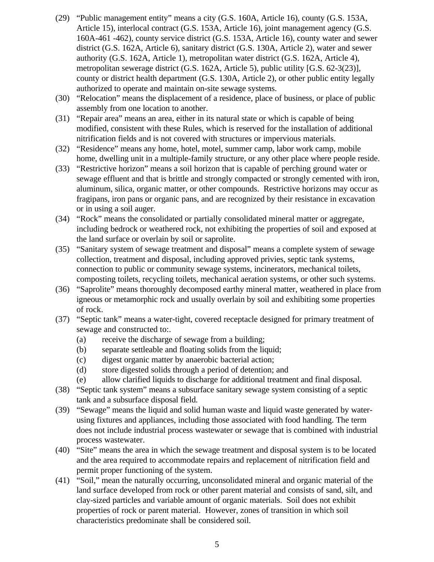- (29) "Public management entity" means a city (G.S. 160A, Article 16), county (G.S. 153A, Article 15), interlocal contract (G.S. 153A, Article 16), joint management agency (G.S. 160A-461 -462), county service district (G.S. 153A, Article 16), county water and sewer district (G.S. 162A, Article 6), sanitary district (G.S. 130A, Article 2), water and sewer authority (G.S. 162A, Article 1), metropolitan water district (G.S. 162A, Article 4), metropolitan sewerage district (G.S. 162A, Article 5), public utility [G.S. 62-3(23)], county or district health department (G.S. 130A, Article 2), or other public entity legally authorized to operate and maintain on-site sewage systems.
- (30) "Relocation" means the displacement of a residence, place of business, or place of public assembly from one location to another.
- (31) "Repair area" means an area, either in its natural state or which is capable of being modified, consistent with these Rules, which is reserved for the installation of additional nitrification fields and is not covered with structures or impervious materials.
- (32) "Residence" means any home, hotel, motel, summer camp, labor work camp, mobile home, dwelling unit in a multiple-family structure, or any other place where people reside.
- (33) "Restrictive horizon" means a soil horizon that is capable of perching ground water or sewage effluent and that is brittle and strongly compacted or strongly cemented with iron, aluminum, silica, organic matter, or other compounds. Restrictive horizons may occur as fragipans, iron pans or organic pans, and are recognized by their resistance in excavation or in using a soil auger.
- (34) "Rock" means the consolidated or partially consolidated mineral matter or aggregate, including bedrock or weathered rock, not exhibiting the properties of soil and exposed at the land surface or overlain by soil or saprolite.
- (35) "Sanitary system of sewage treatment and disposal" means a complete system of sewage collection, treatment and disposal, including approved privies, septic tank systems, connection to public or community sewage systems, incinerators, mechanical toilets, composting toilets, recycling toilets, mechanical aeration systems, or other such systems.
- (36) "Saprolite" means thoroughly decomposed earthy mineral matter, weathered in place from igneous or metamorphic rock and usually overlain by soil and exhibiting some properties of rock.
- (37) "Septic tank" means a water-tight, covered receptacle designed for primary treatment of sewage and constructed to:.
	- (a) receive the discharge of sewage from a building;
	- (b) separate settleable and floating solids from the liquid;
	- (c) digest organic matter by anaerobic bacterial action;
	- (d) store digested solids through a period of detention; and
	- (e) allow clarified liquids to discharge for additional treatment and final disposal.
- (38) "Septic tank system" means a subsurface sanitary sewage system consisting of a septic tank and a subsurface disposal field.
- (39) "Sewage" means the liquid and solid human waste and liquid waste generated by waterusing fixtures and appliances, including those associated with food handling. The term does not include industrial process wastewater or sewage that is combined with industrial process wastewater.
- (40) "Site" means the area in which the sewage treatment and disposal system is to be located and the area required to accommodate repairs and replacement of nitrification field and permit proper functioning of the system.
- (41) "Soil," mean the naturally occurring, unconsolidated mineral and organic material of the land surface developed from rock or other parent material and consists of sand, silt, and clay-sized particles and variable amount of organic materials. Soil does not exhibit properties of rock or parent material. However, zones of transition in which soil characteristics predominate shall be considered soil.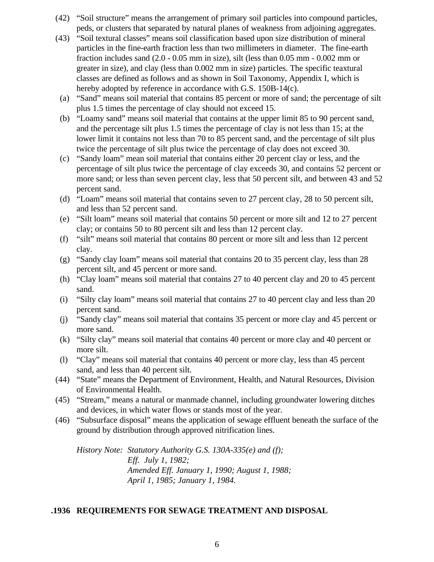- (42) "Soil structure" means the arrangement of primary soil particles into compound particles, peds, or clusters that separated by natural planes of weakness from adjoining aggregates.
- (43) "Soil textural classes" means soil classification based upon size distribution of mineral particles in the fine-earth fraction less than two millimeters in diameter. The fine-earth fraction includes sand (2.0 - 0.05 mm in size), silt (less than 0.05 mm - 0.002 mm or greater in size), and clay (less than 0.002 mm in size) particles. The specific teaxtural classes are defined as follows and as shown in Soil Taxonomy, Appendix I, which is hereby adopted by reference in accordance with G.S. 150B-14(c).
- (a) "Sand" means soil material that contains 85 percent or more of sand; the percentage of silt plus 1.5 times the percentage of clay should not exceed 15.
- (b) "Loamy sand" means soil material that contains at the upper limit 85 to 90 percent sand, and the percentage silt plus 1.5 times the percentage of clay is not less than 15; at the lower limit it contains not less than 70 to 85 percent sand, and the percentage of silt plus twice the percentage of silt plus twice the percentage of clay does not exceed 30.
- (c) "Sandy loam" mean soil material that contains either 20 percent clay or less, and the percentage of silt plus twice the percentage of clay exceeds 30, and contains 52 percent or more sand; or less than seven percent clay, less that 50 percent silt, and between 43 and 52 percent sand.
- (d) "Loam" means soil material that contains seven to 27 percent clay, 28 to 50 percent silt, and less than 52 percent sand.
- (e) "Silt loam" means soil material that contains 50 percent or more silt and 12 to 27 percent clay; or contains 50 to 80 percent silt and less than 12 percent clay.
- (f) "silt" means soil material that contains 80 percent or more silt and less than 12 percent clay.
- (g) "Sandy clay loam" means soil material that contains 20 to 35 percent clay, less than 28 percent silt, and 45 percent or more sand.
- (h) "Clay loam" means soil material that contains 27 to 40 percent clay and 20 to 45 percent sand.
- (i) "Silty clay loam" means soil material that contains 27 to 40 percent clay and less than 20 percent sand.
- (j) "Sandy clay" means soil material that contains 35 percent or more clay and 45 percent or more sand.
- (k) "Silty clay" means soil material that contains 40 percent or more clay and 40 percent or more silt.
- (l) "Clay" means soil material that contains 40 percent or more clay, less than 45 percent sand, and less than 40 percent silt.
- (44) "State" means the Department of Environment, Health, and Natural Resources, Division of Environmental Health.
- (45) "Stream," means a natural or manmade channel, including groundwater lowering ditches and devices, in which water flows or stands most of the year.
- (46) "Subsurface disposal" means the application of sewage effluent beneath the surface of the ground by distribution through approved nitrification lines.

*History Note: Statutory Authority G.S. 130A-335(e) and (f); Eff. July 1, 1982; Amended Eff. January 1, 1990; August 1, 1988; April 1, 1985; January 1, 1984.*

## **.1936 REQUIREMENTS FOR SEWAGE TREATMENT AND DISPOSAL**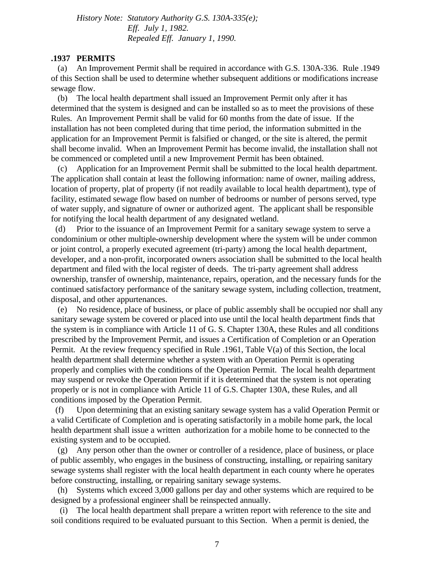*History Note: Statutory Authority G.S. 130A-335(e); Eff. July 1, 1982. Repealed Eff. January 1, 1990.*

#### **.1937 PERMITS**

 (a) An Improvement Permit shall be required in accordance with G.S. 130A-336. Rule .1949 of this Section shall be used to determine whether subsequent additions or modifications increase sewage flow.

 (b) The local health department shall issued an Improvement Permit only after it has determined that the system is designed and can be installed so as to meet the provisions of these Rules. An Improvement Permit shall be valid for 60 months from the date of issue. If the installation has not been completed during that time period, the information submitted in the application for an Improvement Permit is falsified or changed, or the site is altered, the permit shall become invalid. When an Improvement Permit has become invalid, the installation shall not be commenced or completed until a new Improvement Permit has been obtained.

 (c) Application for an Improvement Permit shall be submitted to the local health department. The application shall contain at least the following information: name of owner, mailing address, location of property, plat of property (if not readily available to local health department), type of facility, estimated sewage flow based on number of bedrooms or number of persons served, type of water supply, and signature of owner or authorized agent. The applicant shall be responsible for notifying the local health department of any designated wetland.

 (d) Prior to the issuance of an Improvement Permit for a sanitary sewage system to serve a condominium or other multiple-ownership development where the system will be under common or joint control, a properly executed agreement (tri-party) among the local health department, developer, and a non-profit, incorporated owners association shall be submitted to the local health department and filed with the local register of deeds. The tri-party agreement shall address ownership, transfer of ownership, maintenance, repairs, operation, and the necessary funds for the continued satisfactory performance of the sanitary sewage system, including collection, treatment, disposal, and other appurtenances.

 (e) No residence, place of business, or place of public assembly shall be occupied nor shall any sanitary sewage system be covered or placed into use until the local health department finds that the system is in compliance with Article 11 of G. S. Chapter 130A, these Rules and all conditions prescribed by the Improvement Permit, and issues a Certification of Completion or an Operation Permit. At the review frequency specified in Rule .1961, Table V(a) of this Section, the local health department shall determine whether a system with an Operation Permit is operating properly and complies with the conditions of the Operation Permit. The local health department may suspend or revoke the Operation Permit if it is determined that the system is not operating properly or is not in compliance with Article 11 of G.S. Chapter 130A, these Rules, and all conditions imposed by the Operation Permit.

 (f) Upon determining that an existing sanitary sewage system has a valid Operation Permit or a valid Certificate of Completion and is operating satisfactorily in a mobile home park, the local health department shall issue a written authorization for a mobile home to be connected to the existing system and to be occupied.

 (g) Any person other than the owner or controller of a residence, place of business, or place of public assembly, who engages in the business of constructing, installing, or repairing sanitary sewage systems shall register with the local health department in each county where he operates before constructing, installing, or repairing sanitary sewage systems.

 (h) Systems which exceed 3,000 gallons per day and other systems which are required to be designed by a professional engineer shall be reinspected annually.

 (i) The local health department shall prepare a written report with reference to the site and soil conditions required to be evaluated pursuant to this Section. When a permit is denied, the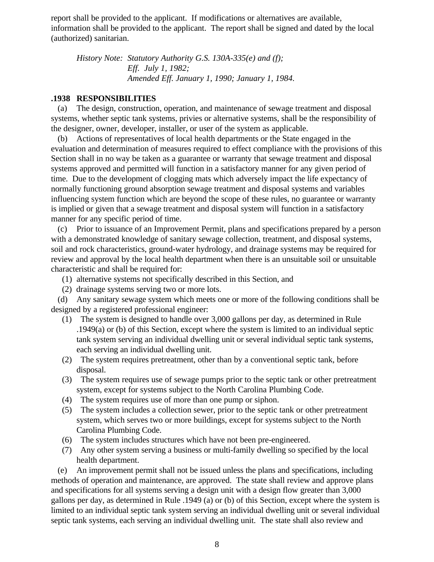report shall be provided to the applicant. If modifications or alternatives are available, information shall be provided to the applicant. The report shall be signed and dated by the local (authorized) sanitarian.

*History Note: Statutory Authority G.S. 130A-335(e) and (f); Eff. July 1, 1982; Amended Eff. January 1, 1990; January 1, 1984.*

#### **.1938 RESPONSIBILITIES**

 (a) The design, construction, operation, and maintenance of sewage treatment and disposal systems, whether septic tank systems, privies or alternative systems, shall be the responsibility of the designer, owner, developer, installer, or user of the system as applicable.

 (b) Actions of representatives of local health departments or the State engaged in the evaluation and determination of measures required to effect compliance with the provisions of this Section shall in no way be taken as a guarantee or warranty that sewage treatment and disposal systems approved and permitted will function in a satisfactory manner for any given period of time. Due to the development of clogging mats which adversely impact the life expectancy of normally functioning ground absorption sewage treatment and disposal systems and variables influencing system function which are beyond the scope of these rules, no guarantee or warranty is implied or given that a sewage treatment and disposal system will function in a satisfactory manner for any specific period of time.

 (c) Prior to issuance of an Improvement Permit, plans and specifications prepared by a person with a demonstrated knowledge of sanitary sewage collection, treatment, and disposal systems, soil and rock characteristics, ground-water hydrology, and drainage systems may be required for review and approval by the local health department when there is an unsuitable soil or unsuitable characteristic and shall be required for:

- (1) alternative systems not specifically described in this Section, and
- (2) drainage systems serving two or more lots.

 (d) Any sanitary sewage system which meets one or more of the following conditions shall be designed by a registered professional engineer:

- (1) The system is designed to handle over 3,000 gallons per day, as determined in Rule .1949(a) or (b) of this Section, except where the system is limited to an individual septic tank system serving an individual dwelling unit or several individual septic tank systems, each serving an individual dwelling unit.
- (2) The system requires pretreatment, other than by a conventional septic tank, before disposal.
- (3) The system requires use of sewage pumps prior to the septic tank or other pretreatment system, except for systems subject to the North Carolina Plumbing Code.
- (4) The system requires use of more than one pump or siphon.
- (5) The system includes a collection sewer, prior to the septic tank or other pretreatment system, which serves two or more buildings, except for systems subject to the North Carolina Plumbing Code.
- (6) The system includes structures which have not been pre-engineered.
- (7) Any other system serving a business or multi-family dwelling so specified by the local health department.

 (e) An improvement permit shall not be issued unless the plans and specifications, including methods of operation and maintenance, are approved. The state shall review and approve plans and specifications for all systems serving a design unit with a design flow greater than 3,000 gallons per day, as determined in Rule .1949 (a) or (b) of this Section, except where the system is limited to an individual septic tank system serving an individual dwelling unit or several individual septic tank systems, each serving an individual dwelling unit. The state shall also review and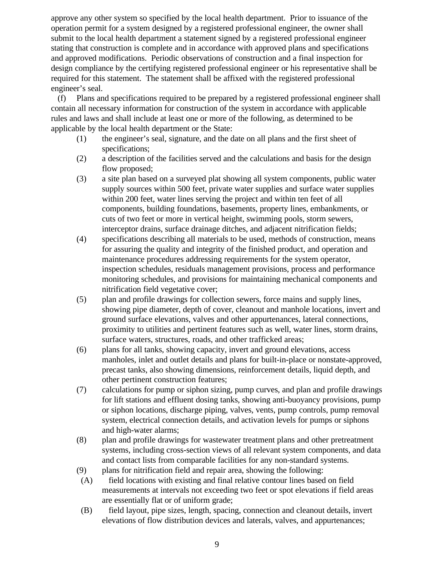approve any other system so specified by the local health department. Prior to issuance of the operation permit for a system designed by a registered professional engineer, the owner shall submit to the local health department a statement signed by a registered professional engineer stating that construction is complete and in accordance with approved plans and specifications and approved modifications. Periodic observations of construction and a final inspection for design compliance by the certifying registered professional engineer or his representative shall be required for this statement. The statement shall be affixed with the registered professional engineer's seal.

 (f) Plans and specifications required to be prepared by a registered professional engineer shall contain all necessary information for construction of the system in accordance with applicable rules and laws and shall include at least one or more of the following, as determined to be applicable by the local health department or the State:

- (1) the engineer's seal, signature, and the date on all plans and the first sheet of specifications;
- (2) a description of the facilities served and the calculations and basis for the design flow proposed;
- (3) a site plan based on a surveyed plat showing all system components, public water supply sources within 500 feet, private water supplies and surface water supplies within 200 feet, water lines serving the project and within ten feet of all components, building foundations, basements, property lines, embankments, or cuts of two feet or more in vertical height, swimming pools, storm sewers, interceptor drains, surface drainage ditches, and adjacent nitrification fields;
- (4) specifications describing all materials to be used, methods of construction, means for assuring the quality and integrity of the finished product, and operation and maintenance procedures addressing requirements for the system operator, inspection schedules, residuals management provisions, process and performance monitoring schedules, and provisions for maintaining mechanical components and nitrification field vegetative cover;
- (5) plan and profile drawings for collection sewers, force mains and supply lines, showing pipe diameter, depth of cover, cleanout and manhole locations, invert and ground surface elevations, valves and other appurtenances, lateral connections, proximity to utilities and pertinent features such as well, water lines, storm drains, surface waters, structures, roads, and other trafficked areas;
- (6) plans for all tanks, showing capacity, invert and ground elevations, access manholes, inlet and outlet details and plans for built-in-place or nonstate-approved, precast tanks, also showing dimensions, reinforcement details, liquid depth, and other pertinent construction features;
- (7) calculations for pump or siphon sizing, pump curves, and plan and profile drawings for lift stations and effluent dosing tanks, showing anti-buoyancy provisions, pump or siphon locations, discharge piping, valves, vents, pump controls, pump removal system, electrical connection details, and activation levels for pumps or siphons and high-water alarms;
- (8) plan and profile drawings for wastewater treatment plans and other pretreatment systems, including cross-section views of all relevant system components, and data and contact lists from comparable facilities for any non-standard systems.
- (9) plans for nitrification field and repair area, showing the following:
- (A) field locations with existing and final relative contour lines based on field measurements at intervals not exceeding two feet or spot elevations if field areas are essentially flat or of uniform grade;
- (B) field layout, pipe sizes, length, spacing, connection and cleanout details, invert elevations of flow distribution devices and laterals, valves, and appurtenances;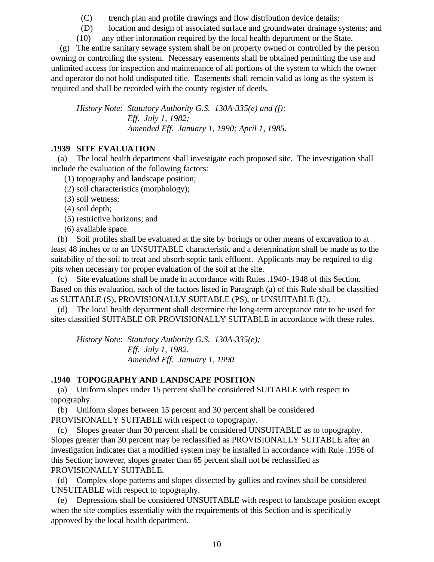- (C) trench plan and profile drawings and flow distribution device details;
- (D) location and design of associated surface and groundwater drainage systems; and
- (10) any other information required by the local health department or the State.

 (g) The entire sanitary sewage system shall be on property owned or controlled by the person owning or controlling the system. Necessary easements shall be obtained permitting the use and unlimited access for inspection and maintenance of all portions of the system to which the owner and operator do not hold undisputed title. Easements shall remain valid as long as the system is required and shall be recorded with the county register of deeds.

*History Note: Statutory Authority G.S. 130A-335(e) and (f); Eff. July 1, 1982; Amended Eff. January 1, 1990; April 1, 1985.*

## **.1939 SITE EVALUATION**

 (a) The local health department shall investigate each proposed site. The investigation shall include the evaluation of the following factors:

(1) topography and landscape position;

- (2) soil characteristics (morphology);
- (3) soil wetness;
- (4) soil depth;
- (5) restrictive horizons; and
- (6) available space.

 (b) Soil profiles shall be evaluated at the site by borings or other means of excavation to at least 48 inches or to an UNSUITABLE characteristic and a determination shall be made as to the suitability of the soil to treat and absorb septic tank effluent. Applicants may be required to dig pits when necessary for proper evaluation of the soil at the site.

 (c) Site evaluations shall be made in accordance with Rules .1940-.1948 of this Section. Based on this evaluation, each of the factors listed in Paragraph (a) of this Rule shall be classified as SUITABLE (S), PROVISIONALLY SUITABLE (PS), or UNSUITABLE (U).

 (d) The local health department shall determine the long-term acceptance rate to be used for sites classified SUITABLE OR PROVISIONALLY SUITABLE in accordance with these rules.

*History Note: Statutory Authority G.S. 130A-335(e); Eff. July 1, 1982. Amended Eff. January 1, 1990.*

## **.1940 TOPOGRAPHY AND LANDSCAPE POSITION**

 (a) Uniform slopes under 15 percent shall be considered SUITABLE with respect to topography.

 (b) Uniform slopes between 15 percent and 30 percent shall be considered PROVISIONALLY SUITABLE with respect to topography.

 (c) Slopes greater than 30 percent shall be considered UNSUITABLE as to topography. Slopes greater than 30 percent may be reclassified as PROVISIONALLY SUITABLE after an investigation indicates that a modified system may be installed in accordance with Rule .1956 of this Section; however, slopes greater than 65 percent shall not be reclassified as PROVISIONALLY SUITABLE.

 (d) Complex slope patterns and slopes dissected by gullies and ravines shall be considered UNSUITABLE with respect to topography.

 (e) Depressions shall be considered UNSUITABLE with respect to landscape position except when the site complies essentially with the requirements of this Section and is specifically approved by the local health department.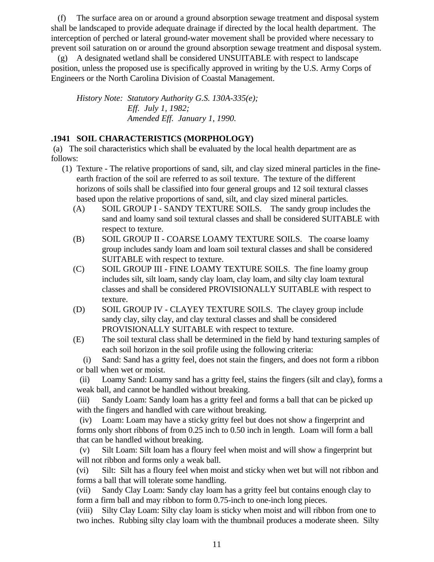(f) The surface area on or around a ground absorption sewage treatment and disposal system shall be landscaped to provide adequate drainage if directed by the local health department. The interception of perched or lateral ground-water movement shall be provided where necessary to prevent soil saturation on or around the ground absorption sewage treatment and disposal system.

 (g) A designated wetland shall be considered UNSUITABLE with respect to landscape position, unless the proposed use is specifically approved in writing by the U.S. Army Corps of Engineers or the North Carolina Division of Coastal Management.

*History Note: Statutory Authority G.S. 130A-335(e); Eff. July 1, 1982; Amended Eff. January 1, 1990.*

## **.1941 SOIL CHARACTERISTICS (MORPHOLOGY)**

 (a) The soil characteristics which shall be evaluated by the local health department are as follows:

- (1) Texture The relative proportions of sand, silt, and clay sized mineral particles in the fineearth fraction of the soil are referred to as soil texture. The texture of the different horizons of soils shall be classified into four general groups and 12 soil textural classes based upon the relative proportions of sand, silt, and clay sized mineral particles.
	- (A) SOIL GROUP I SANDY TEXTURE SOILS. The sandy group includes the sand and loamy sand soil textural classes and shall be considered SUITABLE with respect to texture.
	- (B) SOIL GROUP II COARSE LOAMY TEXTURE SOILS. The coarse loamy group includes sandy loam and loam soil textural classes and shall be considered SUITABLE with respect to texture.
	- (C) SOIL GROUP III FINE LOAMY TEXTURE SOILS. The fine loamy group includes silt, silt loam, sandy clay loam, clay loam, and silty clay loam textural classes and shall be considered PROVISIONALLY SUITABLE with respect to texture.
	- (D) SOIL GROUP IV CLAYEY TEXTURE SOILS. The clayey group include sandy clay, silty clay, and clay textural classes and shall be considered PROVISIONALLY SUITABLE with respect to texture.
	- (E) The soil textural class shall be determined in the field by hand texturing samples of each soil horizon in the soil profile using the following criteria:

 (i) Sand: Sand has a gritty feel, does not stain the fingers, and does not form a ribbon or ball when wet or moist.

 (ii) Loamy Sand: Loamy sand has a gritty feel, stains the fingers (silt and clay), forms a weak ball, and cannot be handled without breaking.

 (iii) Sandy Loam: Sandy loam has a gritty feel and forms a ball that can be picked up with the fingers and handled with care without breaking.

 (iv) Loam: Loam may have a sticky gritty feel but does not show a fingerprint and forms only short ribbons of from 0.25 inch to 0.50 inch in length. Loam will form a ball that can be handled without breaking.

 (v) Silt Loam: Silt loam has a floury feel when moist and will show a fingerprint but will not ribbon and forms only a weak ball.

(vi) Silt: Silt has a floury feel when moist and sticky when wet but will not ribbon and forms a ball that will tolerate some handling.

(vii) Sandy Clay Loam: Sandy clay loam has a gritty feel but contains enough clay to form a firm ball and may ribbon to form 0.75-inch to one-inch long pieces.

(viii) Silty Clay Loam: Silty clay loam is sticky when moist and will ribbon from one to two inches. Rubbing silty clay loam with the thumbnail produces a moderate sheen. Silty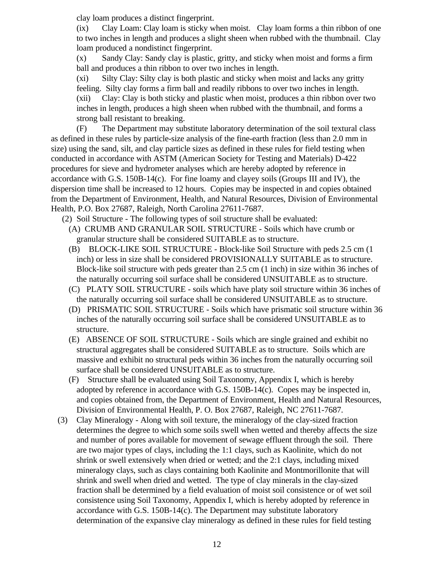clay loam produces a distinct fingerprint.

(ix) Clay Loam: Clay loam is sticky when moist. Clay loam forms a thin ribbon of one to two inches in length and produces a slight sheen when rubbed with the thumbnail. Clay loam produced a nondistinct fingerprint.

(x) Sandy Clay: Sandy clay is plastic, gritty, and sticky when moist and forms a firm ball and produces a thin ribbon to over two inches in length.

(xi) Silty Clay: Silty clay is both plastic and sticky when moist and lacks any gritty feeling. Silty clay forms a firm ball and readily ribbons to over two inches in length. (xii) Clay: Clay is both sticky and plastic when moist, produces a thin ribbon over two inches in length, produces a high sheen when rubbed with the thumbnail, and forms a strong ball resistant to breaking.

(F) The Department may substitute laboratory determination of the soil textural class as defined in these rules by particle-size analysis of the fine-earth fraction (less than 2.0 mm in size) using the sand, silt, and clay particle sizes as defined in these rules for field testing when conducted in accordance with ASTM (American Society for Testing and Materials) D-422 procedures for sieve and hydrometer analyses which are hereby adopted by reference in accordance with G.S. 150B-14(c). For fine loamy and clayey soils (Groups III and IV), the dispersion time shall be increased to 12 hours. Copies may be inspected in and copies obtained from the Department of Environment, Health, and Natural Resources, Division of Environmental Health, P.O. Box 27687, Raleigh, North Carolina 27611-7687.

- (2) Soil Structure The following types of soil structure shall be evaluated: (A) CRUMB AND GRANULAR SOIL STRUCTURE - Soils which have crumb or granular structure shall be considered SUITABLE as to structure.
	- (B) BLOCK-LIKE SOIL STRUCTURE Block-like Soil Structure with peds 2.5 cm (1 inch) or less in size shall be considered PROVISIONALLY SUITABLE as to structure. Block-like soil structure with peds greater than 2.5 cm (1 inch) in size within 36 inches of the naturally occurring soil surface shall be considered UNSUITABLE as to structure.
	- (C) PLATY SOIL STRUCTURE soils which have platy soil structure within 36 inches of the naturally occurring soil surface shall be considered UNSUITABLE as to structure.
	- (D) PRISMATIC SOIL STRUCTURE Soils which have prismatic soil structure within 36 inches of the naturally occurring soil surface shall be considered UNSUITABLE as to structure.
	- (E) ABSENCE OF SOIL STRUCTURE Soils which are single grained and exhibit no structural aggregates shall be considered SUITABLE as to structure. Soils which are massive and exhibit no structural peds within 36 inches from the naturally occurring soil surface shall be considered UNSUITABLE as to structure.
	- (F) Structure shall be evaluated using Soil Taxonomy, Appendix I, which is hereby adopted by reference in accordance with G.S.  $150B-14(c)$ . Copes may be inspected in, and copies obtained from, the Department of Environment, Health and Natural Resources, Division of Environmental Health, P. O. Box 27687, Raleigh, NC 27611-7687.
- (3) Clay Mineralogy Along with soil texture, the mineralogy of the clay-sized fraction determines the degree to which some soils swell when wetted and thereby affects the size and number of pores available for movement of sewage effluent through the soil. There are two major types of clays, including the 1:1 clays, such as Kaolinite, which do not shrink or swell extensively when dried or wetted; and the 2:1 clays, including mixed mineralogy clays, such as clays containing both Kaolinite and Montmorillonite that will shrink and swell when dried and wetted. The type of clay minerals in the clay-sized fraction shall be determined by a field evaluation of moist soil consistence or of wet soil consistence using Soil Taxonomy, Appendix I, which is hereby adopted by reference in accordance with G.S. 150B-14(c). The Department may substitute laboratory determination of the expansive clay mineralogy as defined in these rules for field testing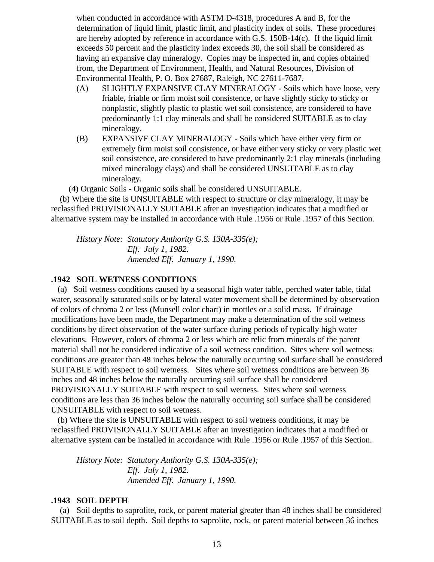when conducted in accordance with ASTM D-4318, procedures A and B, for the determination of liquid limit, plastic limit, and plasticity index of soils. These procedures are hereby adopted by reference in accordance with G.S. 150B-14(c). If the liquid limit exceeds 50 percent and the plasticity index exceeds 30, the soil shall be considered as having an expansive clay mineralogy. Copies may be inspected in, and copies obtained from, the Department of Environment, Health, and Natural Resources, Division of Environmental Health, P. O. Box 27687, Raleigh, NC 27611-7687.

- (A) SLIGHTLY EXPANSIVE CLAY MINERALOGY Soils which have loose, very friable, friable or firm moist soil consistence, or have slightly sticky to sticky or nonplastic, slightly plastic to plastic wet soil consistence, are considered to have predominantly 1:1 clay minerals and shall be considered SUITABLE as to clay mineralogy.
- (B) EXPANSIVE CLAY MINERALOGY Soils which have either very firm or extremely firm moist soil consistence, or have either very sticky or very plastic wet soil consistence, are considered to have predominantly 2:1 clay minerals (including mixed mineralogy clays) and shall be considered UNSUITABLE as to clay mineralogy.

(4) Organic Soils - Organic soils shall be considered UNSUITABLE.

 (b) Where the site is UNSUITABLE with respect to structure or clay mineralogy, it may be reclassified PROVISIONALLY SUITABLE after an investigation indicates that a modified or alternative system may be installed in accordance with Rule .1956 or Rule .1957 of this Section.

*History Note: Statutory Authority G.S. 130A-335(e); Eff. July 1, 1982. Amended Eff. January 1, 1990.*

## **.1942 SOIL WETNESS CONDITIONS**

 (a) Soil wetness conditions caused by a seasonal high water table, perched water table, tidal water, seasonally saturated soils or by lateral water movement shall be determined by observation of colors of chroma 2 or less (Munsell color chart) in mottles or a solid mass. If drainage modifications have been made, the Department may make a determination of the soil wetness conditions by direct observation of the water surface during periods of typically high water elevations. However, colors of chroma 2 or less which are relic from minerals of the parent material shall not be considered indicative of a soil wetness condition. Sites where soil wetness conditions are greater than 48 inches below the naturally occurring soil surface shall be considered SUITABLE with respect to soil wetness. Sites where soil wetness conditions are between 36 inches and 48 inches below the naturally occurring soil surface shall be considered PROVISIONALLY SUITABLE with respect to soil wetness. Sites where soil wetness conditions are less than 36 inches below the naturally occurring soil surface shall be considered UNSUITABLE with respect to soil wetness.

 (b) Where the site is UNSUITABLE with respect to soil wetness conditions, it may be reclassified PROVISIONALLY SUITABLE after an investigation indicates that a modified or alternative system can be installed in accordance with Rule .1956 or Rule .1957 of this Section.

*History Note: Statutory Authority G.S. 130A-335(e); Eff. July 1, 1982. Amended Eff. January 1, 1990.*

#### **.1943 SOIL DEPTH**

 (a) Soil depths to saprolite, rock, or parent material greater than 48 inches shall be considered SUITABLE as to soil depth. Soil depths to saprolite, rock, or parent material between 36 inches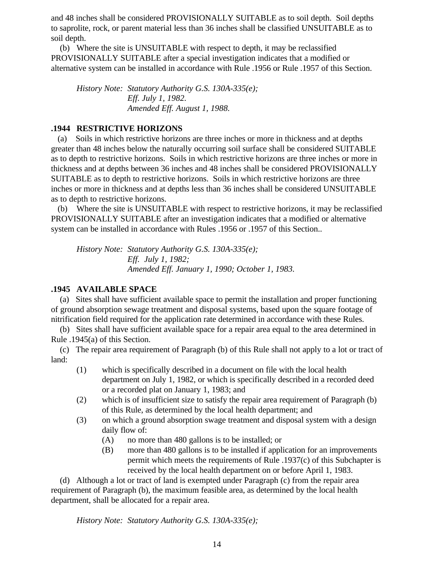and 48 inches shall be considered PROVISIONALLY SUITABLE as to soil depth. Soil depths to saprolite, rock, or parent material less than 36 inches shall be classified UNSUITABLE as to soil depth.

 (b) Where the site is UNSUITABLE with respect to depth, it may be reclassified PROVISIONALLY SUITABLE after a special investigation indicates that a modified or alternative system can be installed in accordance with Rule .1956 or Rule .1957 of this Section.

*History Note: Statutory Authority G.S. 130A-335(e); Eff. July 1, 1982. Amended Eff. August 1, 1988.*

## **.1944 RESTRICTIVE HORIZONS**

 (a) Soils in which restrictive horizons are three inches or more in thickness and at depths greater than 48 inches below the naturally occurring soil surface shall be considered SUITABLE as to depth to restrictive horizons. Soils in which restrictive horizons are three inches or more in thickness and at depths between 36 inches and 48 inches shall be considered PROVISIONALLY SUITABLE as to depth to restrictive horizons. Soils in which restrictive horizons are three inches or more in thickness and at depths less than 36 inches shall be considered UNSUITABLE as to depth to restrictive horizons.

 (b) Where the site is UNSUITABLE with respect to restrictive horizons, it may be reclassified PROVISIONALLY SUITABLE after an investigation indicates that a modified or alternative system can be installed in accordance with Rules .1956 or .1957 of this Section..

*History Note: Statutory Authority G.S. 130A-335(e); Eff. July 1, 1982; Amended Eff. January 1, 1990; October 1, 1983.*

# **.1945 AVAILABLE SPACE**

 (a) Sites shall have sufficient available space to permit the installation and proper functioning of ground absorption sewage treatment and disposal systems, based upon the square footage of nitrification field required for the application rate determined in accordance with these Rules.

 (b) Sites shall have sufficient available space for a repair area equal to the area determined in Rule .1945(a) of this Section.

 (c) The repair area requirement of Paragraph (b) of this Rule shall not apply to a lot or tract of land:

- (1) which is specifically described in a document on file with the local health department on July 1, 1982, or which is specifically described in a recorded deed or a recorded plat on January 1, 1983; and
- (2) which is of insufficient size to satisfy the repair area requirement of Paragraph (b) of this Rule, as determined by the local health department; and
- (3) on which a ground absorption swage treatment and disposal system with a design daily flow of:
	- (A) no more than 480 gallons is to be installed; or
	- (B) more than 480 gallons is to be installed if application for an improvements permit which meets the requirements of Rule .1937(c) of this Subchapter is received by the local health department on or before April 1, 1983.

 (d) Although a lot or tract of land is exempted under Paragraph (c) from the repair area requirement of Paragraph (b), the maximum feasible area, as determined by the local health department, shall be allocated for a repair area.

*History Note: Statutory Authority G.S. 130A-335(e);*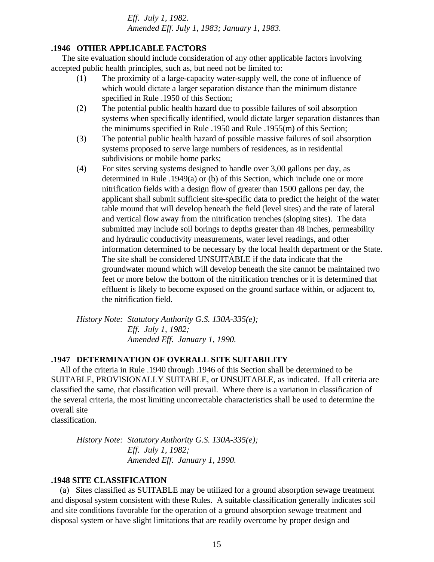*Eff. July 1, 1982. Amended Eff. July 1, 1983; January 1, 1983.*

## **.1946 OTHER APPLICABLE FACTORS**

 The site evaluation should include consideration of any other applicable factors involving accepted public health principles, such as, but need not be limited to:

- (1) The proximity of a large-capacity water-supply well, the cone of influence of which would dictate a larger separation distance than the minimum distance specified in Rule .1950 of this Section;
- (2) The potential public health hazard due to possible failures of soil absorption systems when specifically identified, would dictate larger separation distances than the minimums specified in Rule .1950 and Rule .1955(m) of this Section;
- (3) The potential public health hazard of possible massive failures of soil absorption systems proposed to serve large numbers of residences, as in residential subdivisions or mobile home parks;
- (4) For sites serving systems designed to handle over 3,00 gallons per day, as determined in Rule .1949(a) or (b) of this Section, which include one or more nitrification fields with a design flow of greater than 1500 gallons per day, the applicant shall submit sufficient site-specific data to predict the height of the water table mound that will develop beneath the field (level sites) and the rate of lateral and vertical flow away from the nitrification trenches (sloping sites). The data submitted may include soil borings to depths greater than 48 inches, permeability and hydraulic conductivity measurements, water level readings, and other information determined to be necessary by the local health department or the State. The site shall be considered UNSUITABLE if the data indicate that the groundwater mound which will develop beneath the site cannot be maintained two feet or more below the bottom of the nitrification trenches or it is determined that effluent is likely to become exposed on the ground surface within, or adjacent to, the nitrification field.

*History Note: Statutory Authority G.S. 130A-335(e); Eff. July 1, 1982; Amended Eff. January 1, 1990.*

### **.1947 DETERMINATION OF OVERALL SITE SUITABILITY**

 All of the criteria in Rule .1940 through .1946 of this Section shall be determined to be SUITABLE, PROVISIONALLY SUITABLE, or UNSUITABLE, as indicated. If all criteria are classified the same, that classification will prevail. Where there is a variation in classification of the several criteria, the most limiting uncorrectable characteristics shall be used to determine the overall site

classification.

*History Note: Statutory Authority G.S. 130A-335(e); Eff. July 1, 1982; Amended Eff. January 1, 1990.*

### **.1948 SITE CLASSIFICATION**

 (a) Sites classified as SUITABLE may be utilized for a ground absorption sewage treatment and disposal system consistent with these Rules. A suitable classification generally indicates soil and site conditions favorable for the operation of a ground absorption sewage treatment and disposal system or have slight limitations that are readily overcome by proper design and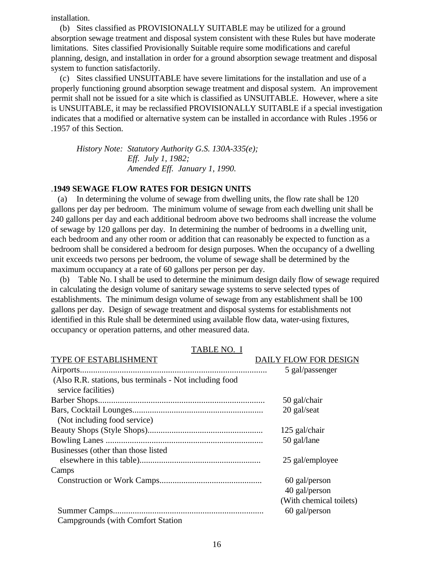installation.

 (b) Sites classified as PROVISIONALLY SUITABLE may be utilized for a ground absorption sewage treatment and disposal system consistent with these Rules but have moderate limitations. Sites classified Provisionally Suitable require some modifications and careful planning, design, and installation in order for a ground absorption sewage treatment and disposal system to function satisfactorily.

 (c) Sites classified UNSUITABLE have severe limitations for the installation and use of a properly functioning ground absorption sewage treatment and disposal system. An improvement permit shall not be issued for a site which is classified as UNSUITABLE. However, where a site is UNSUITABLE, it may be reclassified PROVISIONALLY SUITABLE if a special investigation indicates that a modified or alternative system can be installed in accordance with Rules .1956 or .1957 of this Section.

*History Note: Statutory Authority G.S. 130A-335(e); Eff. July 1, 1982; Amended Eff. January 1, 1990.*

## .**1949 SEWAGE FLOW RATES FOR DESIGN UNITS**

 (a) In determining the volume of sewage from dwelling units, the flow rate shall be 120 gallons per day per bedroom. The minimum volume of sewage from each dwelling unit shall be 240 gallons per day and each additional bedroom above two bedrooms shall increase the volume of sewage by 120 gallons per day. In determining the number of bedrooms in a dwelling unit, each bedroom and any other room or addition that can reasonably be expected to function as a bedroom shall be considered a bedroom for design purposes. When the occupancy of a dwelling unit exceeds two persons per bedroom, the volume of sewage shall be determined by the maximum occupancy at a rate of 60 gallons per person per day.

 (b) Table No. I shall be used to determine the minimum design daily flow of sewage required in calculating the design volume of sanitary sewage systems to serve selected types of establishments. The minimum design volume of sewage from any establishment shall be 100 gallons per day. Design of sewage treatment and disposal systems for establishments not identified in this Rule shall be determined using available flow data, water-using fixtures, occupancy or operation patterns, and other measured data.

| TYPE OF ESTABLISHMENT                                                          | <b>DAILY FLOW FOR DESIGN</b>   |
|--------------------------------------------------------------------------------|--------------------------------|
|                                                                                | 5 gal/passenger                |
| (Also R.R. stations, bus terminals - Not including food<br>service facilities) |                                |
|                                                                                | 50 gal/chair                   |
|                                                                                | 20 gal/seat                    |
| (Not including food service)                                                   |                                |
|                                                                                | 125 gal/chair                  |
|                                                                                | 50 gal/lane                    |
| Businesses (other than those listed                                            |                                |
|                                                                                | 25 gal/employee                |
| Camps                                                                          |                                |
|                                                                                | 60 gal/person<br>40 gal/person |
|                                                                                | (With chemical toilets)        |
|                                                                                | 60 gal/person                  |
| <b>Campgrounds</b> (with Comfort Station)                                      |                                |

TABLE NO. I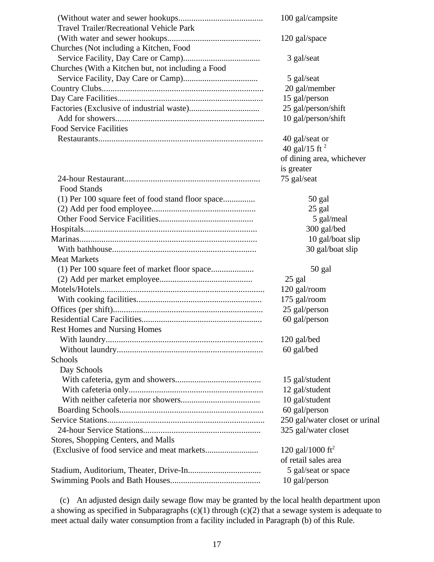| <b>Travel Trailer/Recreational Vehicle Park</b>    | 100 gal/campsite               |
|----------------------------------------------------|--------------------------------|
| Churches (Not including a Kitchen, Food            | 120 gal/space                  |
| Churches (With a Kitchen but, not including a Food | 3 gal/seat                     |
|                                                    | 5 gal/seat                     |
|                                                    | 20 gal/member                  |
|                                                    | 15 gal/person                  |
|                                                    | 25 gal/person/shift            |
|                                                    | 10 gal/person/shift            |
| <b>Food Service Facilities</b>                     |                                |
|                                                    | 40 gal/seat or                 |
|                                                    | 40 gal/15 ft $^2$              |
|                                                    | of dining area, whichever      |
|                                                    | is greater                     |
|                                                    | 75 gal/seat                    |
| Food Stands                                        |                                |
| (1) Per 100 square feet of food stand floor space  | 50 gal                         |
|                                                    | 25 gal                         |
|                                                    | 5 gal/meal                     |
|                                                    | 300 gal/bed                    |
|                                                    | 10 gal/boat slip               |
|                                                    | 30 gal/boat slip               |
| <b>Meat Markets</b>                                |                                |
| (1) Per 100 square feet of market floor space      | 50 gal                         |
|                                                    | 25 gal                         |
|                                                    | 120 gal/room                   |
|                                                    | 175 gal/room                   |
|                                                    | 25 gal/person                  |
|                                                    | 60 gal/person                  |
| <b>Rest Homes and Nursing Homes</b>                |                                |
|                                                    | 120 gal/bed                    |
|                                                    | 60 gal/bed                     |
| Schools                                            |                                |
| Day Schools                                        |                                |
|                                                    | 15 gal/student                 |
|                                                    | 12 gal/student                 |
|                                                    | 10 gal/student                 |
|                                                    | 60 gal/person                  |
|                                                    | 250 gal/water closet or urinal |
|                                                    | 325 gal/water closet           |
| Stores, Shopping Centers, and Malls                |                                |
|                                                    | 120 gal/1000 ft <sup>2</sup>   |
|                                                    | of retail sales area           |
|                                                    | 5 gal/seat or space            |
|                                                    | 10 gal/person                  |

 (c) An adjusted design daily sewage flow may be granted by the local health department upon a showing as specified in Subparagraphs (c)(1) through (c)(2) that a sewage system is adequate to meet actual daily water consumption from a facility included in Paragraph (b) of this Rule.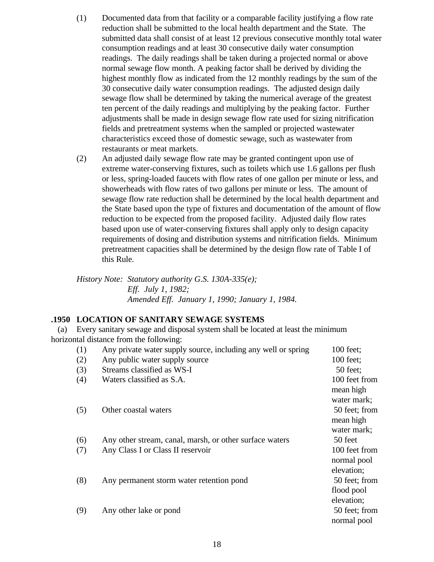- (1) Documented data from that facility or a comparable facility justifying a flow rate reduction shall be submitted to the local health department and the State. The submitted data shall consist of at least 12 previous consecutive monthly total water consumption readings and at least 30 consecutive daily water consumption readings. The daily readings shall be taken during a projected normal or above normal sewage flow month. A peaking factor shall be derived by dividing the highest monthly flow as indicated from the 12 monthly readings by the sum of the 30 consecutive daily water consumption readings. The adjusted design daily sewage flow shall be determined by taking the numerical average of the greatest ten percent of the daily readings and multiplying by the peaking factor. Further adjustments shall be made in design sewage flow rate used for sizing nitrification fields and pretreatment systems when the sampled or projected wastewater characteristics exceed those of domestic sewage, such as wastewater from restaurants or meat markets.
- (2) An adjusted daily sewage flow rate may be granted contingent upon use of extreme water-conserving fixtures, such as toilets which use 1.6 gallons per flush or less, spring-loaded faucets with flow rates of one gallon per minute or less, and showerheads with flow rates of two gallons per minute or less. The amount of sewage flow rate reduction shall be determined by the local health department and the State based upon the type of fixtures and documentation of the amount of flow reduction to be expected from the proposed facility. Adjusted daily flow rates based upon use of water-conserving fixtures shall apply only to design capacity requirements of dosing and distribution systems and nitrification fields. Minimum pretreatment capacities shall be determined by the design flow rate of Table I of this Rule.

*History Note: Statutory authority G.S. 130A-335(e); Eff. July 1, 1982; Amended Eff. January 1, 1990; January 1, 1984.*

## **.1950 LOCATION OF SANITARY SEWAGE SYSTEMS**

 (a) Every sanitary sewage and disposal system shall be located at least the minimum horizontal distance from the following:

| (1) | Any private water supply source, including any well or spring | 100 feet;                                 |
|-----|---------------------------------------------------------------|-------------------------------------------|
| (2) | Any public water supply source                                | 100 feet;                                 |
| (3) | Streams classified as WS-I                                    | 50 feet;                                  |
| (4) | Waters classified as S.A.                                     | 100 feet from<br>mean high                |
| (5) | Other coastal waters                                          | water mark;<br>50 feet; from<br>mean high |
| (6) | Any other stream, canal, marsh, or other surface waters       | water mark;<br>50 feet                    |
| (7) | Any Class I or Class II reservoir                             | 100 feet from<br>normal pool              |
| (8) | Any permanent storm water retention pond                      | elevation;<br>50 feet; from               |
| (9) | Any other lake or pond                                        | flood pool<br>elevation;<br>50 feet; from |
|     |                                                               | normal pool                               |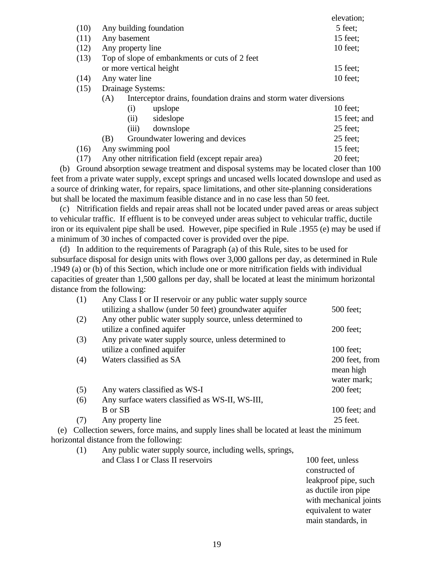|      |                                                                         |                   |                                               | elevation;   |
|------|-------------------------------------------------------------------------|-------------------|-----------------------------------------------|--------------|
| (10) |                                                                         |                   | Any building foundation                       | 5 feet;      |
| (11) |                                                                         | Any basement      |                                               | 15 feet;     |
| (12) |                                                                         | Any property line |                                               | $10$ feet;   |
| (13) |                                                                         |                   | Top of slope of embankments or cuts of 2 feet |              |
|      |                                                                         |                   | or more vertical height                       | $15$ feet;   |
| (14) | Any water line                                                          |                   |                                               | $10$ feet;   |
| (15) | Drainage Systems:                                                       |                   |                                               |              |
|      | Interceptor drains, foundation drains and storm water diversions<br>(A) |                   |                                               |              |
|      |                                                                         | (i)               | upslope                                       | $10$ feet;   |
|      |                                                                         | (ii)              | sideslope                                     | 15 feet; and |
|      |                                                                         | (iii)             | downslope                                     | $25$ feet;   |
|      | (B)                                                                     |                   | Groundwater lowering and devices              | 25 feet;     |
| (16) |                                                                         | Any swimming pool |                                               | 15 feet:     |

(17) Any other nitrification field (except repair area) 20 feet;

 (b) Ground absorption sewage treatment and disposal systems may be located closer than 100 feet from a private water supply, except springs and uncased wells located downslope and used as a source of drinking water, for repairs, space limitations, and other site-planning considerations but shall be located the maximum feasible distance and in no case less than 50 feet.

 (c) Nitrification fields and repair areas shall not be located under paved areas or areas subject to vehicular traffic. If effluent is to be conveyed under areas subject to vehicular traffic, ductile iron or its equivalent pipe shall be used. However, pipe specified in Rule .1955 (e) may be used if a minimum of 30 inches of compacted cover is provided over the pipe.

 (d) In addition to the requirements of Paragraph (a) of this Rule, sites to be used for subsurface disposal for design units with flows over 3,000 gallons per day, as determined in Rule .1949 (a) or (b) of this Section, which include one or more nitrification fields with individual capacities of greater than 1,500 gallons per day, shall be located at least the minimum horizontal distance from the following:

| (1) | Any Class I or II reservoir or any public water supply source |                |
|-----|---------------------------------------------------------------|----------------|
|     | utilizing a shallow (under 50 feet) groundwater aquifer       | 500 feet;      |
| (2) | Any other public water supply source, unless determined to    |                |
|     | utilize a confined aquifer                                    | $200$ feet;    |
| (3) | Any private water supply source, unless determined to         |                |
|     | utilize a confined aquifer                                    | $100$ feet;    |
| (4) | Waters classified as SA                                       | 200 feet, from |
|     |                                                               | mean high      |
|     |                                                               | water mark;    |
| (5) | Any waters classified as WS-I                                 | 200 feet;      |
| (6) | Any surface waters classified as WS-II, WS-III,               |                |
|     | B or SB                                                       | 100 feet; and  |
| (7) | Any property line                                             | 25 feet.       |
|     |                                                               |                |

 (e) Collection sewers, force mains, and supply lines shall be located at least the minimum horizontal distance from the following:

| (1) | Any public water supply source, including wells, springs, |                                    |  |  |
|-----|-----------------------------------------------------------|------------------------------------|--|--|
|     | and Class I or Class II reservoirs                        | 100 feet, unless<br>constructed of |  |  |
|     |                                                           |                                    |  |  |
|     |                                                           | leakproof pipe, such               |  |  |
|     |                                                           | as ductile iron pipe               |  |  |
|     |                                                           | with mechanical joints             |  |  |
|     |                                                           | equivalent to water                |  |  |

main standards, in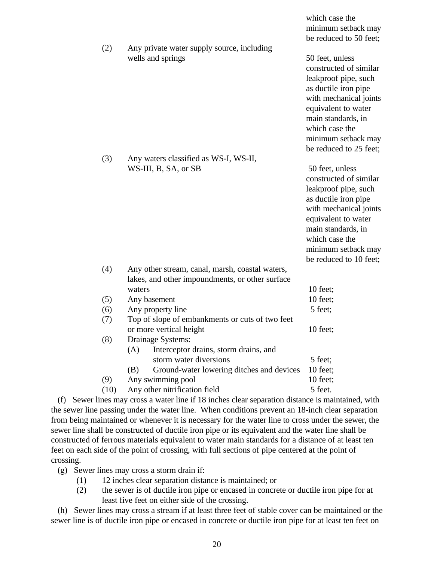|      |                                                                       | minimum setback may    |
|------|-----------------------------------------------------------------------|------------------------|
|      |                                                                       | be reduced to 50 feet; |
| (2)  | Any private water supply source, including                            |                        |
|      | wells and springs                                                     | 50 feet, unless        |
|      |                                                                       | constructed of similar |
|      |                                                                       | leakproof pipe, such   |
|      |                                                                       | as ductile iron pipe   |
|      |                                                                       | with mechanical joints |
|      |                                                                       | equivalent to water    |
|      |                                                                       | main standards, in     |
|      |                                                                       | which case the         |
|      |                                                                       | minimum setback may    |
|      |                                                                       | be reduced to 25 feet; |
| (3)  | Any waters classified as WS-I, WS-II,                                 |                        |
|      | WS-III, B, SA, or SB                                                  | 50 feet, unless        |
|      |                                                                       | constructed of similar |
|      |                                                                       | leakproof pipe, such   |
|      |                                                                       | as ductile iron pipe   |
|      |                                                                       | with mechanical joints |
|      |                                                                       | equivalent to water    |
|      |                                                                       | main standards, in     |
|      |                                                                       | which case the         |
|      |                                                                       | minimum setback may    |
|      |                                                                       | be reduced to 10 feet; |
| (4)  | Any other stream, canal, marsh, coastal waters,                       |                        |
|      | lakes, and other impoundments, or other surface                       |                        |
|      | waters                                                                | 10 feet;               |
| (5)  | Any basement                                                          | 10 feet;               |
| (6)  | Any property line                                                     | 5 feet;                |
| (7)  | Top of slope of embankments or cuts of two feet                       |                        |
|      | or more vertical height                                               | 10 feet;               |
| (8)  | Drainage Systems:                                                     |                        |
|      | Interceptor drains, storm drains, and<br>(A)                          |                        |
|      | storm water diversions                                                | 5 feet;                |
|      | Ground-water lowering ditches and devices<br>(B)<br>Any swimming pool | 10 feet;<br>10 feet;   |
| (9)  | Any other nitrification field                                         | 5 feet.                |
| (10) |                                                                       |                        |

which case the

 (f) Sewer lines may cross a water line if 18 inches clear separation distance is maintained, with the sewer line passing under the water line. When conditions prevent an 18-inch clear separation from being maintained or whenever it is necessary for the water line to cross under the sewer, the sewer line shall be constructed of ductile iron pipe or its equivalent and the water line shall be constructed of ferrous materials equivalent to water main standards for a distance of at least ten feet on each side of the point of crossing, with full sections of pipe centered at the point of crossing.

- (g) Sewer lines may cross a storm drain if:
	- (1) 12 inches clear separation distance is maintained; or
	- (2) the sewer is of ductile iron pipe or encased in concrete or ductile iron pipe for at least five feet on either side of the crossing.

 (h) Sewer lines may cross a stream if at least three feet of stable cover can be maintained or the sewer line is of ductile iron pipe or encased in concrete or ductile iron pipe for at least ten feet on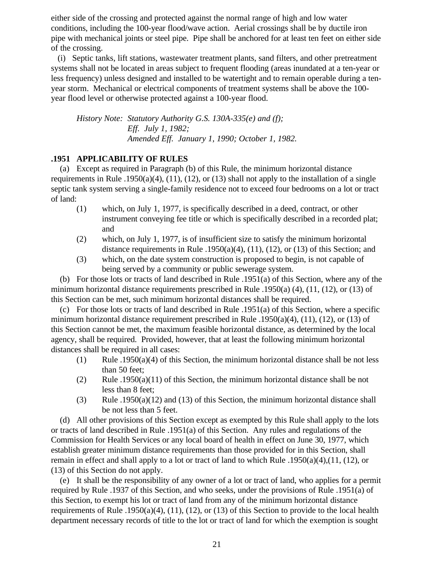either side of the crossing and protected against the normal range of high and low water conditions, including the 100-year flood/wave action. Aerial crossings shall be by ductile iron pipe with mechanical joints or steel pipe. Pipe shall be anchored for at least ten feet on either side of the crossing.

 (i) Septic tanks, lift stations, wastewater treatment plants, sand filters, and other pretreatment systems shall not be located in areas subject to frequent flooding (areas inundated at a ten-year or less frequency) unless designed and installed to be watertight and to remain operable during a tenyear storm. Mechanical or electrical components of treatment systems shall be above the 100 year flood level or otherwise protected against a 100-year flood.

*History Note: Statutory Authority G.S. 130A-335(e) and (f); Eff. July 1, 1982; Amended Eff. January 1, 1990; October 1, 1982.*

## **.1951 APPLICABILITY OF RULES**

 (a) Except as required in Paragraph (b) of this Rule, the minimum horizontal distance requirements in Rule .1950(a)(4), (11), (12), or (13) shall not apply to the installation of a single septic tank system serving a single-family residence not to exceed four bedrooms on a lot or tract of land:

- (1) which, on July 1, 1977, is specifically described in a deed, contract, or other instrument conveying fee title or which is specifically described in a recorded plat; and
- (2) which, on July 1, 1977, is of insufficient size to satisfy the minimum horizontal distance requirements in Rule .1950(a)(4), (11), (12), or (13) of this Section; and
- (3) which, on the date system construction is proposed to begin, is not capable of being served by a community or public sewerage system.

 (b) For those lots or tracts of land described in Rule .1951(a) of this Section, where any of the minimum horizontal distance requirements prescribed in Rule .1950(a) (4), (11, (12), or (13) of this Section can be met, such minimum horizontal distances shall be required.

 (c) For those lots or tracts of land described in Rule .1951(a) of this Section, where a specific minimum horizontal distance requirement prescribed in Rule .1950(a)(4), (11), (12), or (13) of this Section cannot be met, the maximum feasible horizontal distance, as determined by the local agency, shall be required. Provided, however, that at least the following minimum horizontal distances shall be required in all cases:

- (1) Rule .1950(a)(4) of this Section, the minimum horizontal distance shall be not less than 50 feet;
- (2) Rule .1950(a)(11) of this Section, the minimum horizontal distance shall be not less than 8 feet;
- (3) Rule .1950(a)(12) and (13) of this Section, the minimum horizontal distance shall be not less than 5 feet.

 (d) All other provisions of this Section except as exempted by this Rule shall apply to the lots or tracts of land described in Rule .1951(a) of this Section. Any rules and regulations of the Commission for Health Services or any local board of health in effect on June 30, 1977, which establish greater minimum distance requirements than those provided for in this Section, shall remain in effect and shall apply to a lot or tract of land to which Rule .1950(a)(4),(11, (12), or (13) of this Section do not apply.

 (e) It shall be the responsibility of any owner of a lot or tract of land, who applies for a permit required by Rule .1937 of this Section, and who seeks, under the provisions of Rule .1951(a) of this Section, to exempt his lot or tract of land from any of the minimum horizontal distance requirements of Rule .1950(a)(4), (11), (12), or (13) of this Section to provide to the local health department necessary records of title to the lot or tract of land for which the exemption is sought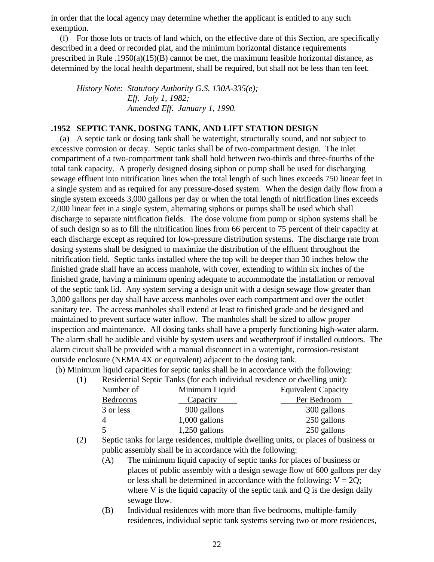in order that the local agency may determine whether the applicant is entitled to any such exemption.

 (f) For those lots or tracts of land which, on the effective date of this Section, are specifically described in a deed or recorded plat, and the minimum horizontal distance requirements prescribed in Rule .1950(a)(15)(B) cannot be met, the maximum feasible horizontal distance, as determined by the local health department, shall be required, but shall not be less than ten feet.

*History Note: Statutory Authority G.S. 130A-335(e); Eff. July 1, 1982; Amended Eff. January 1, 1990.*

### **.1952 SEPTIC TANK, DOSING TANK, AND LIFT STATION DESIGN**

 (a) A septic tank or dosing tank shall be watertight, structurally sound, and not subject to excessive corrosion or decay. Septic tanks shall be of two-compartment design. The inlet compartment of a two-compartment tank shall hold between two-thirds and three-fourths of the total tank capacity. A properly designed dosing siphon or pump shall be used for discharging sewage effluent into nitrification lines when the total length of such lines exceeds 750 linear feet in a single system and as required for any pressure-dosed system. When the design daily flow from a single system exceeds 3,000 gallons per day or when the total length of nitrification lines exceeds 2,000 linear feet in a single system, alternating siphons or pumps shall be used which shall discharge to separate nitrification fields. The dose volume from pump or siphon systems shall be of such design so as to fill the nitrification lines from 66 percent to 75 percent of their capacity at each discharge except as required for low-pressure distribution systems. The discharge rate from dosing systems shall be designed to maximize the distribution of the effluent throughout the nitrification field. Septic tanks installed where the top will be deeper than 30 inches below the finished grade shall have an access manhole, with cover, extending to within six inches of the finished grade, having a minimum opening adequate to accommodate the installation or removal of the septic tank lid. Any system serving a design unit with a design sewage flow greater than 3,000 gallons per day shall have access manholes over each compartment and over the outlet sanitary tee. The access manholes shall extend at least to finished grade and be designed and maintained to prevent surface water inflow. The manholes shall be sized to allow proper inspection and maintenance. All dosing tanks shall have a properly functioning high-water alarm. The alarm shall be audible and visible by system users and weatherproof if installed outdoors. The alarm circuit shall be provided with a manual disconnect in a watertight, corrosion-resistant outside enclosure (NEMA 4X or equivalent) adjacent to the dosing tank.

(b) Minimum liquid capacities for septic tanks shall be in accordance with the following:

(1) Residential Septic Tanks (for each individual residence or dwelling unit):

| Number of | Minimum Liquid  | <b>Equivalent Capacity</b> |
|-----------|-----------------|----------------------------|
| Bedrooms  | <b>Capacity</b> | Per Bedroom                |
| 3 or less | 900 gallons     | 300 gallons                |
|           | $1,000$ gallons | 250 gallons                |
| $\leq$    | $1,250$ gallons | 250 gallons                |

- (2) Septic tanks for large residences, multiple dwelling units, or places of business or public assembly shall be in accordance with the following:
	- (A) The minimum liquid capacity of septic tanks for places of business or places of public assembly with a design sewage flow of 600 gallons per day or less shall be determined in accordance with the following:  $V = 2Q$ ; where V is the liquid capacity of the septic tank and Q is the design daily sewage flow.
	- (B) Individual residences with more than five bedrooms, multiple-family residences, individual septic tank systems serving two or more residences,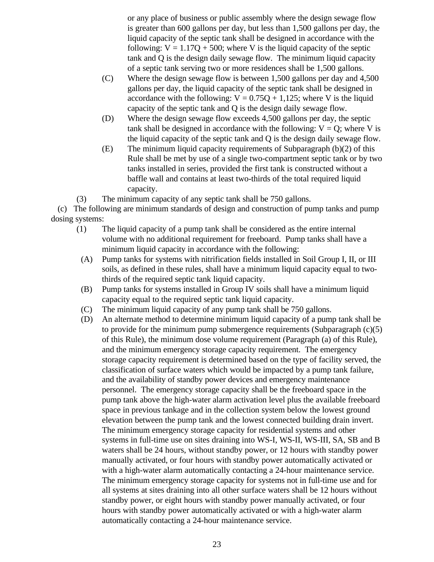or any place of business or public assembly where the design sewage flow is greater than 600 gallons per day, but less than 1,500 gallons per day, the liquid capacity of the septic tank shall be designed in accordance with the following:  $V = 1.17Q + 500$ ; where V is the liquid capacity of the septic tank and Q is the design daily sewage flow. The minimum liquid capacity of a septic tank serving two or more residences shall be 1,500 gallons.

- (C) Where the design sewage flow is between 1,500 gallons per day and 4,500 gallons per day, the liquid capacity of the septic tank shall be designed in accordance with the following:  $V = 0.75Q + 1.125$ ; where V is the liquid capacity of the septic tank and Q is the design daily sewage flow.
- (D) Where the design sewage flow exceeds 4,500 gallons per day, the septic tank shall be designed in accordance with the following:  $V = Q$ ; where V is the liquid capacity of the septic tank and Q is the design daily sewage flow.
- (E) The minimum liquid capacity requirements of Subparagraph (b)(2) of this Rule shall be met by use of a single two-compartment septic tank or by two tanks installed in series, provided the first tank is constructed without a baffle wall and contains at least two-thirds of the total required liquid capacity.

(3) The minimum capacity of any septic tank shall be 750 gallons.

 (c) The following are minimum standards of design and construction of pump tanks and pump dosing systems:

- (1) The liquid capacity of a pump tank shall be considered as the entire internal volume with no additional requirement for freeboard. Pump tanks shall have a minimum liquid capacity in accordance with the following:
- (A) Pump tanks for systems with nitrification fields installed in Soil Group I, II, or III soils, as defined in these rules, shall have a minimum liquid capacity equal to twothirds of the required septic tank liquid capacity.
- (B) Pump tanks for systems installed in Group IV soils shall have a minimum liquid capacity equal to the required septic tank liquid capacity.
- (C) The minimum liquid capacity of any pump tank shall be 750 gallons.
- (D) An alternate method to determine minimum liquid capacity of a pump tank shall be to provide for the minimum pump submergence requirements (Subparagraph  $(c)(5)$ ) of this Rule), the minimum dose volume requirement (Paragraph (a) of this Rule), and the minimum emergency storage capacity requirement. The emergency storage capacity requirement is determined based on the type of facility served, the classification of surface waters which would be impacted by a pump tank failure, and the availability of standby power devices and emergency maintenance personnel. The emergency storage capacity shall be the freeboard space in the pump tank above the high-water alarm activation level plus the available freeboard space in previous tankage and in the collection system below the lowest ground elevation between the pump tank and the lowest connected building drain invert. The minimum emergency storage capacity for residential systems and other systems in full-time use on sites draining into WS-I, WS-II, WS-III, SA, SB and B waters shall be 24 hours, without standby power, or 12 hours with standby power manually activated, or four hours with standby power automatically activated or with a high-water alarm automatically contacting a 24-hour maintenance service. The minimum emergency storage capacity for systems not in full-time use and for all systems at sites draining into all other surface waters shall be 12 hours without standby power, or eight hours with standby power manually activated, or four hours with standby power automatically activated or with a high-water alarm automatically contacting a 24-hour maintenance service.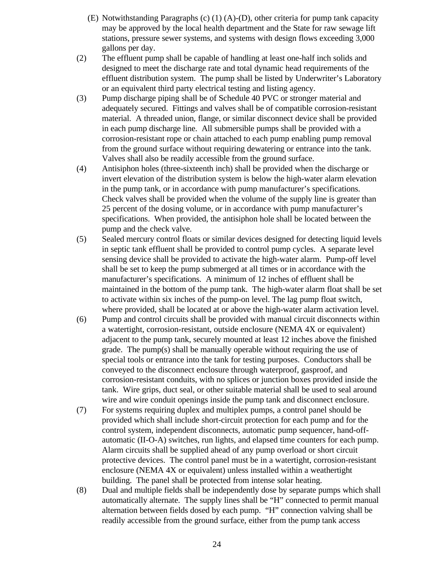- (E) Notwithstanding Paragraphs (c) (1) (A)-(D), other criteria for pump tank capacity may be approved by the local health department and the State for raw sewage lift stations, pressure sewer systems, and systems with design flows exceeding 3,000 gallons per day.
- (2) The effluent pump shall be capable of handling at least one-half inch solids and designed to meet the discharge rate and total dynamic head requirements of the effluent distribution system. The pump shall be listed by Underwriter's Laboratory or an equivalent third party electrical testing and listing agency.
- (3) Pump discharge piping shall be of Schedule 40 PVC or stronger material and adequately secured. Fittings and valves shall be of compatible corrosion-resistant material. A threaded union, flange, or similar disconnect device shall be provided in each pump discharge line. All submersible pumps shall be provided with a corrosion-resistant rope or chain attached to each pump enabling pump removal from the ground surface without requiring dewatering or entrance into the tank. Valves shall also be readily accessible from the ground surface.
- (4) Antisiphon holes (three-sixteenth inch) shall be provided when the discharge or invert elevation of the distribution system is below the high-water alarm elevation in the pump tank, or in accordance with pump manufacturer's specifications. Check valves shall be provided when the volume of the supply line is greater than 25 percent of the dosing volume, or in accordance with pump manufacturer's specifications. When provided, the antisiphon hole shall be located between the pump and the check valve.
- (5) Sealed mercury control floats or similar devices designed for detecting liquid levels in septic tank effluent shall be provided to control pump cycles. A separate level sensing device shall be provided to activate the high-water alarm. Pump-off level shall be set to keep the pump submerged at all times or in accordance with the manufacturer's specifications. A minimum of 12 inches of effluent shall be maintained in the bottom of the pump tank. The high-water alarm float shall be set to activate within six inches of the pump-on level. The lag pump float switch, where provided, shall be located at or above the high-water alarm activation level.
- (6) Pump and control circuits shall be provided with manual circuit disconnects within a watertight, corrosion-resistant, outside enclosure (NEMA 4X or equivalent) adjacent to the pump tank, securely mounted at least 12 inches above the finished grade. The pump(s) shall be manually operable without requiring the use of special tools or entrance into the tank for testing purposes. Conductors shall be conveyed to the disconnect enclosure through waterproof, gasproof, and corrosion-resistant conduits, with no splices or junction boxes provided inside the tank. Wire grips, duct seal, or other suitable material shall be used to seal around wire and wire conduit openings inside the pump tank and disconnect enclosure.
- (7) For systems requiring duplex and multiplex pumps, a control panel should be provided which shall include short-circuit protection for each pump and for the control system, independent disconnects, automatic pump sequencer, hand-offautomatic (II-O-A) switches, run lights, and elapsed time counters for each pump. Alarm circuits shall be supplied ahead of any pump overload or short circuit protective devices. The control panel must be in a watertight, corrosion-resistant enclosure (NEMA 4X or equivalent) unless installed within a weathertight building. The panel shall be protected from intense solar heating.
- (8) Dual and multiple fields shall be independently dose by separate pumps which shall automatically alternate. The supply lines shall be "H" connected to permit manual alternation between fields dosed by each pump. "H" connection valving shall be readily accessible from the ground surface, either from the pump tank access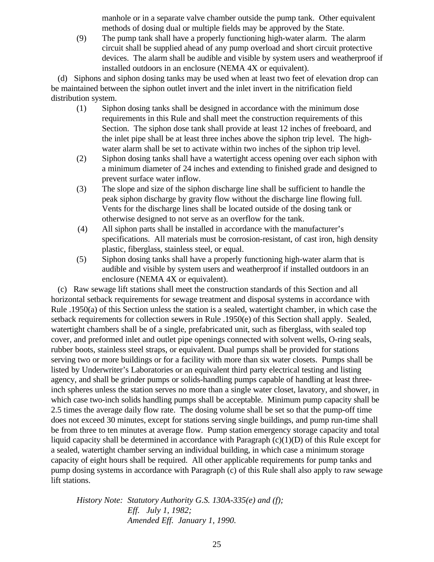manhole or in a separate valve chamber outside the pump tank. Other equivalent methods of dosing dual or multiple fields may be approved by the State.

(9) The pump tank shall have a properly functioning high-water alarm. The alarm circuit shall be supplied ahead of any pump overload and short circuit protective devices. The alarm shall be audible and visible by system users and weatherproof if installed outdoors in an enclosure (NEMA 4X or equivalent).

 (d) Siphons and siphon dosing tanks may be used when at least two feet of elevation drop can be maintained between the siphon outlet invert and the inlet invert in the nitrification field distribution system.

- (1) Siphon dosing tanks shall be designed in accordance with the minimum dose requirements in this Rule and shall meet the construction requirements of this Section. The siphon dose tank shall provide at least 12 inches of freeboard, and the inlet pipe shall be at least three inches above the siphon trip level. The highwater alarm shall be set to activate within two inches of the siphon trip level.
- (2) Siphon dosing tanks shall have a watertight access opening over each siphon with a minimum diameter of 24 inches and extending to finished grade and designed to prevent surface water inflow.
- (3) The slope and size of the siphon discharge line shall be sufficient to handle the peak siphon discharge by gravity flow without the discharge line flowing full. Vents for the discharge lines shall be located outside of the dosing tank or otherwise designed to not serve as an overflow for the tank.
- (4) All siphon parts shall be installed in accordance with the manufacturer's specifications. All materials must be corrosion-resistant, of cast iron, high density plastic, fiberglass, stainless steel, or equal.
- (5) Siphon dosing tanks shall have a properly functioning high-water alarm that is audible and visible by system users and weatherproof if installed outdoors in an enclosure (NEMA 4X or equivalent).

 (c) Raw sewage lift stations shall meet the construction standards of this Section and all horizontal setback requirements for sewage treatment and disposal systems in accordance with Rule .1950(a) of this Section unless the station is a sealed, watertight chamber, in which case the setback requirements for collection sewers in Rule .1950(e) of this Section shall apply. Sealed, watertight chambers shall be of a single, prefabricated unit, such as fiberglass, with sealed top cover, and preformed inlet and outlet pipe openings connected with solvent wells, O-ring seals, rubber boots, stainless steel straps, or equivalent. Dual pumps shall be provided for stations serving two or more buildings or for a facility with more than six water closets. Pumps shall be listed by Underwriter's Laboratories or an equivalent third party electrical testing and listing agency, and shall be grinder pumps or solids-handling pumps capable of handling at least threeinch spheres unless the station serves no more than a single water closet, lavatory, and shower, in which case two-inch solids handling pumps shall be acceptable. Minimum pump capacity shall be 2.5 times the average daily flow rate. The dosing volume shall be set so that the pump-off time does not exceed 30 minutes, except for stations serving single buildings, and pump run-time shall be from three to ten minutes at average flow. Pump station emergency storage capacity and total liquid capacity shall be determined in accordance with Paragraph (c)(1)(D) of this Rule except for a sealed, watertight chamber serving an individual building, in which case a minimum storage capacity of eight hours shall be required. All other applicable requirements for pump tanks and pump dosing systems in accordance with Paragraph (c) of this Rule shall also apply to raw sewage lift stations.

*History Note: Statutory Authority G.S. 130A-335(e) and (f); Eff. July 1, 1982; Amended Eff. January 1, 1990.*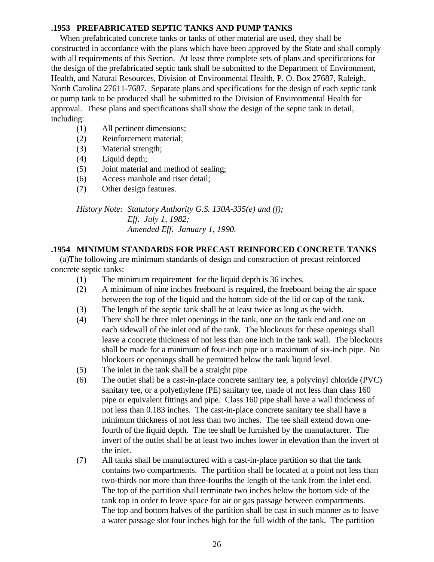## **.1953 PREFABRICATED SEPTIC TANKS AND PUMP TANKS**

 When prefabricated concrete tanks or tanks of other material are used, they shall be constructed in accordance with the plans which have been approved by the State and shall comply with all requirements of this Section. At least three complete sets of plans and specifications for the design of the prefabricated septic tank shall be submitted to the Department of Environment, Health, and Natural Resources, Division of Environmental Health, P. O. Box 27687, Raleigh, North Carolina 27611-7687. Separate plans and specifications for the design of each septic tank or pump tank to be produced shall be submitted to the Division of Environmental Health for approval. These plans and specifications shall show the design of the septic tank in detail, including:

- (1) All pertinent dimensions;
- (2) Reinforcement material;
- (3) Material strength;
- (4) Liquid depth;
- (5) Joint material and method of sealing;
- (6) Access manhole and riser detail;
- (7) Other design features.

*History Note: Statutory Authority G.S. 130A-335(e) and (f); Eff. July 1, 1982; Amended Eff. January 1, 1990.*

## **.1954 MINIMUM STANDARDS FOR PRECAST REINFORCED CONCRETE TANKS**

 (a)The following are minimum standards of design and construction of precast reinforced concrete septic tanks:

- (1) The minimum requirement for the liquid depth is 36 inches.
- (2) A minimum of nine inches freeboard is required, the freeboard being the air space between the top of the liquid and the bottom side of the lid or cap of the tank.
- (3) The length of the septic tank shall be at least twice as long as the width.
- (4) There shall be three inlet openings in the tank, one on the tank end and one on each sidewall of the inlet end of the tank. The blockouts for these openings shall leave a concrete thickness of not less than one inch in the tank wall. The blockouts shall be made for a minimum of four-inch pipe or a maximum of six-inch pipe. No blockouts or openings shall be permitted below the tank liquid level.
- (5) The inlet in the tank shall be a straight pipe.
- (6) The outlet shall be a cast-in-place concrete sanitary tee, a polyvinyl chloride (PVC) sanitary tee, or a polyethylene (PE) sanitary tee, made of not less than class 160 pipe or equivalent fittings and pipe. Class 160 pipe shall have a wall thickness of not less than 0.183 inches. The cast-in-place concrete sanitary tee shall have a minimum thickness of not less than two inches. The tee shall extend down onefourth of the liquid depth. The tee shall be furnished by the manufacturer. The invert of the outlet shall be at least two inches lower in elevation than the invert of the inlet.
- (7) All tanks shall be manufactured with a cast-in-place partition so that the tank contains two compartments. The partition shall be located at a point not less than two-thirds nor more than three-fourths the length of the tank from the inlet end. The top of the partition shall terminate two inches below the bottom side of the tank top in order to leave space for air or gas passage between compartments. The top and bottom halves of the partition shall be cast in such manner as to leave a water passage slot four inches high for the full width of the tank. The partition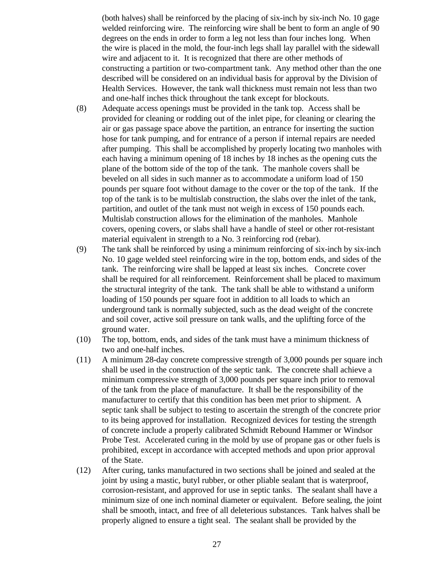(both halves) shall be reinforced by the placing of six-inch by six-inch No. 10 gage welded reinforcing wire. The reinforcing wire shall be bent to form an angle of 90 degrees on the ends in order to form a leg not less than four inches long. When the wire is placed in the mold, the four-inch legs shall lay parallel with the sidewall wire and adjacent to it. It is recognized that there are other methods of constructing a partition or two-compartment tank. Any method other than the one described will be considered on an individual basis for approval by the Division of Health Services. However, the tank wall thickness must remain not less than two and one-half inches thick throughout the tank except for blockouts.

- (8) Adequate access openings must be provided in the tank top. Access shall be provided for cleaning or rodding out of the inlet pipe, for cleaning or clearing the air or gas passage space above the partition, an entrance for inserting the suction hose for tank pumping, and for entrance of a person if internal repairs are needed after pumping. This shall be accomplished by properly locating two manholes with each having a minimum opening of 18 inches by 18 inches as the opening cuts the plane of the bottom side of the top of the tank. The manhole covers shall be beveled on all sides in such manner as to accommodate a uniform load of 150 pounds per square foot without damage to the cover or the top of the tank. If the top of the tank is to be multislab construction, the slabs over the inlet of the tank, partition, and outlet of the tank must not weigh in excess of 150 pounds each. Multislab construction allows for the elimination of the manholes. Manhole covers, opening covers, or slabs shall have a handle of steel or other rot-resistant material equivalent in strength to a No. 3 reinforcing rod (rebar).
- (9) The tank shall be reinforced by using a minimum reinforcing of six-inch by six-inch No. 10 gage welded steel reinforcing wire in the top, bottom ends, and sides of the tank. The reinforcing wire shall be lapped at least six inches. Concrete cover shall be required for all reinforcement. Reinforcement shall be placed to maximum the structural integrity of the tank. The tank shall be able to withstand a uniform loading of 150 pounds per square foot in addition to all loads to which an underground tank is normally subjected, such as the dead weight of the concrete and soil cover, active soil pressure on tank walls, and the uplifting force of the ground water.
- (10) The top, bottom, ends, and sides of the tank must have a minimum thickness of two and one-half inches.
- (11) A minimum 28-day concrete compressive strength of 3,000 pounds per square inch shall be used in the construction of the septic tank. The concrete shall achieve a minimum compressive strength of 3,000 pounds per square inch prior to removal of the tank from the place of manufacture. It shall be the responsibility of the manufacturer to certify that this condition has been met prior to shipment. A septic tank shall be subject to testing to ascertain the strength of the concrete prior to its being approved for installation. Recognized devices for testing the strength of concrete include a properly calibrated Schmidt Rebound Hammer or Windsor Probe Test. Accelerated curing in the mold by use of propane gas or other fuels is prohibited, except in accordance with accepted methods and upon prior approval of the State.
- (12) After curing, tanks manufactured in two sections shall be joined and sealed at the joint by using a mastic, butyl rubber, or other pliable sealant that is waterproof, corrosion-resistant, and approved for use in septic tanks. The sealant shall have a minimum size of one inch nominal diameter or equivalent. Before sealing, the joint shall be smooth, intact, and free of all deleterious substances. Tank halves shall be properly aligned to ensure a tight seal. The sealant shall be provided by the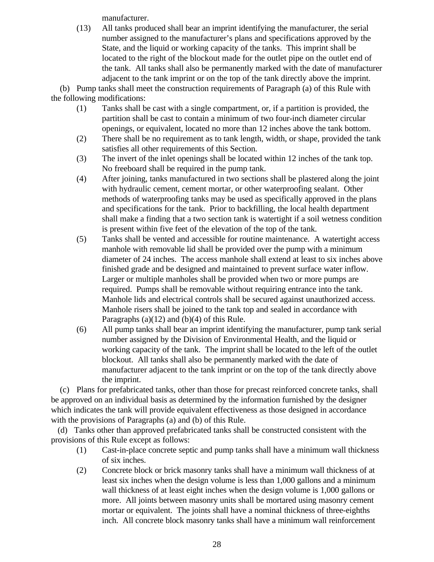manufacturer.

(13) All tanks produced shall bear an imprint identifying the manufacturer, the serial number assigned to the manufacturer's plans and specifications approved by the State, and the liquid or working capacity of the tanks. This imprint shall be located to the right of the blockout made for the outlet pipe on the outlet end of the tank. All tanks shall also be permanently marked with the date of manufacturer adjacent to the tank imprint or on the top of the tank directly above the imprint.

 (b) Pump tanks shall meet the construction requirements of Paragraph (a) of this Rule with the following modifications:

- (1) Tanks shall be cast with a single compartment, or, if a partition is provided, the partition shall be cast to contain a minimum of two four-inch diameter circular openings, or equivalent, located no more than 12 inches above the tank bottom.
- (2) There shall be no requirement as to tank length, width, or shape, provided the tank satisfies all other requirements of this Section.
- (3) The invert of the inlet openings shall be located within 12 inches of the tank top. No freeboard shall be required in the pump tank.
- (4) After joining, tanks manufactured in two sections shall be plastered along the joint with hydraulic cement, cement mortar, or other waterproofing sealant. Other methods of waterproofing tanks may be used as specifically approved in the plans and specifications for the tank. Prior to backfilling, the local health department shall make a finding that a two section tank is watertight if a soil wetness condition is present within five feet of the elevation of the top of the tank.
- (5) Tanks shall be vented and accessible for routine maintenance. A watertight access manhole with removable lid shall be provided over the pump with a minimum diameter of 24 inches. The access manhole shall extend at least to six inches above finished grade and be designed and maintained to prevent surface water inflow. Larger or multiple manholes shall be provided when two or more pumps are required. Pumps shall be removable without requiring entrance into the tank. Manhole lids and electrical controls shall be secured against unauthorized access. Manhole risers shall be joined to the tank top and sealed in accordance with Paragraphs (a)(12) and (b)(4) of this Rule.
- (6) All pump tanks shall bear an imprint identifying the manufacturer, pump tank serial number assigned by the Division of Environmental Health, and the liquid or working capacity of the tank. The imprint shall be located to the left of the outlet blockout. All tanks shall also be permanently marked with the date of manufacturer adjacent to the tank imprint or on the top of the tank directly above the imprint.

 (c) Plans for prefabricated tanks, other than those for precast reinforced concrete tanks, shall be approved on an individual basis as determined by the information furnished by the designer which indicates the tank will provide equivalent effectiveness as those designed in accordance with the provisions of Paragraphs (a) and (b) of this Rule.

 (d) Tanks other than approved prefabricated tanks shall be constructed consistent with the provisions of this Rule except as follows:

- (1) Cast-in-place concrete septic and pump tanks shall have a minimum wall thickness of six inches.
- (2) Concrete block or brick masonry tanks shall have a minimum wall thickness of at least six inches when the design volume is less than 1,000 gallons and a minimum wall thickness of at least eight inches when the design volume is 1,000 gallons or more. All joints between masonry units shall be mortared using masonry cement mortar or equivalent. The joints shall have a nominal thickness of three-eighths inch. All concrete block masonry tanks shall have a minimum wall reinforcement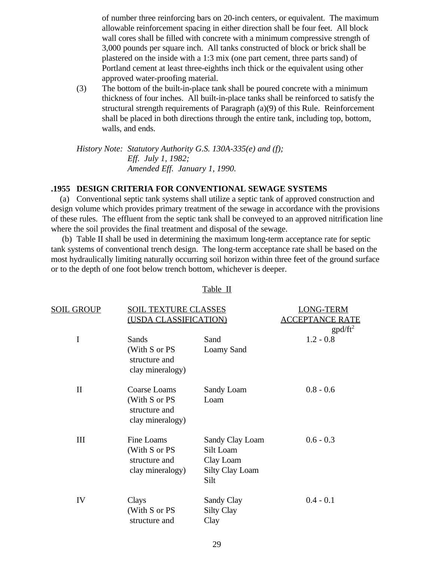of number three reinforcing bars on 20-inch centers, or equivalent. The maximum allowable reinforcement spacing in either direction shall be four feet. All block wall cores shall be filled with concrete with a minimum compressive strength of 3,000 pounds per square inch. All tanks constructed of block or brick shall be plastered on the inside with a 1:3 mix (one part cement, three parts sand) of Portland cement at least three-eighths inch thick or the equivalent using other approved water-proofing material.

(3) The bottom of the built-in-place tank shall be poured concrete with a minimum thickness of four inches. All built-in-place tanks shall be reinforced to satisfy the structural strength requirements of Paragraph (a)(9) of this Rule. Reinforcement shall be placed in both directions through the entire tank, including top, bottom, walls, and ends.

*History Note: Statutory Authority G.S. 130A-335(e) and (f); Eff. July 1, 1982; Amended Eff. January 1, 1990.*

## **.1955 DESIGN CRITERIA FOR CONVENTIONAL SEWAGE SYSTEMS**

 (a) Conventional septic tank systems shall utilize a septic tank of approved construction and design volume which provides primary treatment of the sewage in accordance with the provisions of these rules. The effluent from the septic tank shall be conveyed to an approved nitrification line where the soil provides the final treatment and disposal of the sewage.

 (b) Table II shall be used in determining the maximum long-term acceptance rate for septic tank systems of conventional trench design. The long-term acceptance rate shall be based on the most hydraulically limiting naturally occurring soil horizon within three feet of the ground surface or to the depth of one foot below trench bottom, whichever is deeper.

| SOIL GROUP<br><u>SOIL TEXTURE CLASSES</u><br>(USDA CLASSIFICATION) |                                                                  | LONG-TERM<br><b>ACCEPTANCE RATE</b>                                         |             |
|--------------------------------------------------------------------|------------------------------------------------------------------|-----------------------------------------------------------------------------|-------------|
|                                                                    |                                                                  |                                                                             | $gpd/ft^2$  |
| $\mathbf I$                                                        | Sands                                                            | Sand                                                                        | $1.2 - 0.8$ |
|                                                                    | (With S or PS<br>structure and<br>clay mineralogy)               | Loamy Sand                                                                  |             |
| $\mathbf{I}$                                                       | Coarse Loams                                                     | Sandy Loam                                                                  | $0.8 - 0.6$ |
|                                                                    | (With S or PS<br>structure and<br>clay mineralogy)               | Loam                                                                        |             |
| III                                                                | Fine Loams<br>(With S or PS<br>structure and<br>clay mineralogy) | Sandy Clay Loam<br>Silt Loam<br>Clay Loam<br><b>Silty Clay Loam</b><br>Silt | $0.6 - 0.3$ |
| IV                                                                 | Clays<br>(With S or PS<br>structure and                          | Sandy Clay<br><b>Silty Clay</b><br>Clay                                     | $0.4 - 0.1$ |

#### Table II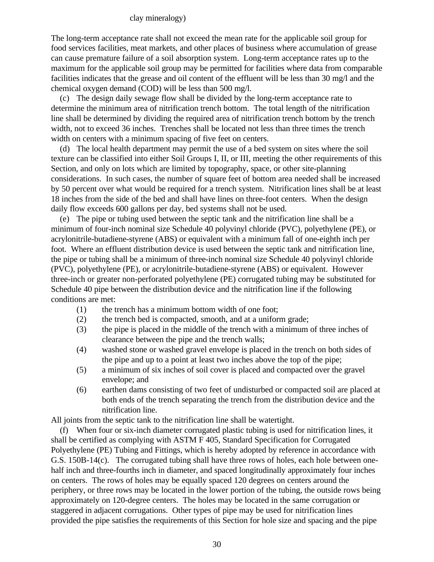## clay mineralogy)

The long-term acceptance rate shall not exceed the mean rate for the applicable soil group for food services facilities, meat markets, and other places of business where accumulation of grease can cause premature failure of a soil absorption system. Long-term acceptance rates up to the maximum for the applicable soil group may be permitted for facilities where data from comparable facilities indicates that the grease and oil content of the effluent will be less than 30 mg/l and the chemical oxygen demand (COD) will be less than 500 mg/l.

 (c) The design daily sewage flow shall be divided by the long-term acceptance rate to determine the minimum area of nitrification trench bottom. The total length of the nitrification line shall be determined by dividing the required area of nitrification trench bottom by the trench width, not to exceed 36 inches. Trenches shall be located not less than three times the trench width on centers with a minimum spacing of five feet on centers.

 (d) The local health department may permit the use of a bed system on sites where the soil texture can be classified into either Soil Groups I, II, or III, meeting the other requirements of this Section, and only on lots which are limited by topography, space, or other site-planning considerations. In such cases, the number of square feet of bottom area needed shall be increased by 50 percent over what would be required for a trench system. Nitrification lines shall be at least 18 inches from the side of the bed and shall have lines on three-foot centers. When the design daily flow exceeds 600 gallons per day, bed systems shall not be used.

 (e) The pipe or tubing used between the septic tank and the nitrification line shall be a minimum of four-inch nominal size Schedule 40 polyvinyl chloride (PVC), polyethylene (PE), or acrylonitrile-butadiene-styrene (ABS) or equivalent with a minimum fall of one-eighth inch per foot. Where an effluent distribution device is used between the septic tank and nitrification line, the pipe or tubing shall be a minimum of three-inch nominal size Schedule 40 polyvinyl chloride (PVC), polyethylene (PE), or acrylonitrile-butadiene-styrene (ABS) or equivalent. However three-inch or greater non-perforated polyethylene (PE) corrugated tubing may be substituted for Schedule 40 pipe between the distribution device and the nitrification line if the following conditions are met:

- (1) the trench has a minimum bottom width of one foot;
- (2) the trench bed is compacted, smooth, and at a uniform grade;
- (3) the pipe is placed in the middle of the trench with a minimum of three inches of clearance between the pipe and the trench walls;
- (4) washed stone or washed gravel envelope is placed in the trench on both sides of the pipe and up to a point at least two inches above the top of the pipe;
- (5) a minimum of six inches of soil cover is placed and compacted over the gravel envelope; and
- (6) earthen dams consisting of two feet of undisturbed or compacted soil are placed at both ends of the trench separating the trench from the distribution device and the nitrification line.

All joints from the septic tank to the nitrification line shall be watertight.

 (f) When four or six-inch diameter corrugated plastic tubing is used for nitrification lines, it shall be certified as complying with ASTM F 405, Standard Specification for Corrugated Polyethylene (PE) Tubing and Fittings, which is hereby adopted by reference in accordance with G.S. 150B-14(c). The corrugated tubing shall have three rows of holes, each hole between onehalf inch and three-fourths inch in diameter, and spaced longitudinally approximately four inches on centers. The rows of holes may be equally spaced 120 degrees on centers around the periphery, or three rows may be located in the lower portion of the tubing, the outside rows being approximately on 120-degree centers. The holes may be located in the same corrugation or staggered in adjacent corrugations. Other types of pipe may be used for nitrification lines provided the pipe satisfies the requirements of this Section for hole size and spacing and the pipe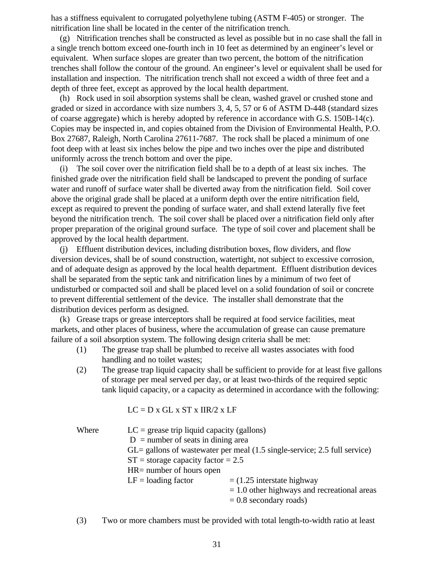has a stiffness equivalent to corrugated polyethylene tubing (ASTM F-405) or stronger. The nitrification line shall be located in the center of the nitrification trench.

 (g) Nitrification trenches shall be constructed as level as possible but in no case shall the fall in a single trench bottom exceed one-fourth inch in 10 feet as determined by an engineer's level or equivalent. When surface slopes are greater than two percent, the bottom of the nitrification trenches shall follow the contour of the ground. An engineer's level or equivalent shall be used for installation and inspection. The nitrification trench shall not exceed a width of three feet and a depth of three feet, except as approved by the local health department.

 (h) Rock used in soil absorption systems shall be clean, washed gravel or crushed stone and graded or sized in accordance with size numbers 3, 4, 5, 57 or 6 of ASTM D-448 (standard sizes of coarse aggregate) which is hereby adopted by reference in accordance with G.S. 150B-14(c). Copies may be inspected in, and copies obtained from the Division of Environmental Health, P.O. Box 27687, Raleigh, North Carolina 27611-7687. The rock shall be placed a minimum of one foot deep with at least six inches below the pipe and two inches over the pipe and distributed uniformly across the trench bottom and over the pipe.

 (i) The soil cover over the nitrification field shall be to a depth of at least six inches. The finished grade over the nitrification field shall be landscaped to prevent the ponding of surface water and runoff of surface water shall be diverted away from the nitrification field. Soil cover above the original grade shall be placed at a uniform depth over the entire nitrification field, except as required to prevent the ponding of surface water, and shall extend laterally five feet beyond the nitrification trench. The soil cover shall be placed over a nitrification field only after proper preparation of the original ground surface. The type of soil cover and placement shall be approved by the local health department.

 (j) Effluent distribution devices, including distribution boxes, flow dividers, and flow diversion devices, shall be of sound construction, watertight, not subject to excessive corrosion, and of adequate design as approved by the local health department. Effluent distribution devices shall be separated from the septic tank and nitrification lines by a minimum of two feet of undisturbed or compacted soil and shall be placed level on a solid foundation of soil or concrete to prevent differential settlement of the device. The installer shall demonstrate that the distribution devices perform as designed.

 (k) Grease traps or grease interceptors shall be required at food service facilities, meat markets, and other places of business, where the accumulation of grease can cause premature failure of a soil absorption system. The following design criteria shall be met:

- (1) The grease trap shall be plumbed to receive all wastes associates with food handling and no toilet wastes;
- (2) The grease trap liquid capacity shall be sufficient to provide for at least five gallons of storage per meal served per day, or at least two-thirds of the required septic tank liquid capacity, or a capacity as determined in accordance with the following:

 $LC = D x GL x ST x IIR/2 x LF$ 

| Where | $LC =$ grease trip liquid capacity (gallons)                                                   |                                               |  |
|-------|------------------------------------------------------------------------------------------------|-----------------------------------------------|--|
|       | $D =$ number of seats in dining area                                                           |                                               |  |
|       | $GL =$ gallons of wastewater per meal $(1.5 \text{ single-service}; 2.5 \text{ full service})$ |                                               |  |
|       | $ST =$ storage capacity factor = 2.5                                                           |                                               |  |
|       | $HR =$ number of hours open                                                                    |                                               |  |
|       | $LF =$ loading factor                                                                          | $=$ (1.25 interstate highway                  |  |
|       |                                                                                                | $= 1.0$ other highways and recreational areas |  |
|       |                                                                                                | $= 0.8$ secondary roads)                      |  |

(3) Two or more chambers must be provided with total length-to-width ratio at least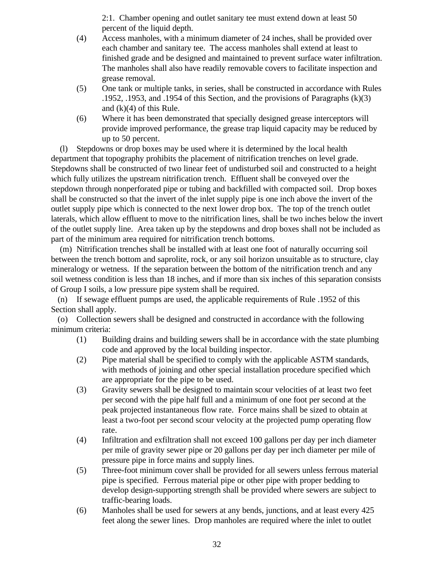2:1. Chamber opening and outlet sanitary tee must extend down at least 50 percent of the liquid depth.

- (4) Access manholes, with a minimum diameter of 24 inches, shall be provided over each chamber and sanitary tee. The access manholes shall extend at least to finished grade and be designed and maintained to prevent surface water infiltration. The manholes shall also have readily removable covers to facilitate inspection and grease removal.
- (5) One tank or multiple tanks, in series, shall be constructed in accordance with Rules .1952, .1953, and .1954 of this Section, and the provisions of Paragraphs (k)(3) and  $(k)(4)$  of this Rule.
- (6) Where it has been demonstrated that specially designed grease interceptors will provide improved performance, the grease trap liquid capacity may be reduced by up to 50 percent.

 (l) Stepdowns or drop boxes may be used where it is determined by the local health department that topography prohibits the placement of nitrification trenches on level grade. Stepdowns shall be constructed of two linear feet of undisturbed soil and constructed to a height which fully utilizes the upstream nitrification trench. Effluent shall be conveyed over the stepdown through nonperforated pipe or tubing and backfilled with compacted soil. Drop boxes shall be constructed so that the invert of the inlet supply pipe is one inch above the invert of the outlet supply pipe which is connected to the next lower drop box. The top of the trench outlet laterals, which allow effluent to move to the nitrification lines, shall be two inches below the invert of the outlet supply line. Area taken up by the stepdowns and drop boxes shall not be included as part of the minimum area required for nitrification trench bottoms.

 (m) Nitrification trenches shall be installed with at least one foot of naturally occurring soil between the trench bottom and saprolite, rock, or any soil horizon unsuitable as to structure, clay mineralogy or wetness. If the separation between the bottom of the nitrification trench and any soil wetness condition is less than 18 inches, and if more than six inches of this separation consists of Group I soils, a low pressure pipe system shall be required.

 (n) If sewage effluent pumps are used, the applicable requirements of Rule .1952 of this Section shall apply.

 (o) Collection sewers shall be designed and constructed in accordance with the following minimum criteria:

- (1) Building drains and building sewers shall be in accordance with the state plumbing code and approved by the local building inspector.
- (2) Pipe material shall be specified to comply with the applicable ASTM standards, with methods of joining and other special installation procedure specified which are appropriate for the pipe to be used.
- (3) Gravity sewers shall be designed to maintain scour velocities of at least two feet per second with the pipe half full and a minimum of one foot per second at the peak projected instantaneous flow rate. Force mains shall be sized to obtain at least a two-foot per second scour velocity at the projected pump operating flow rate.
- (4) Infiltration and exfiltration shall not exceed 100 gallons per day per inch diameter per mile of gravity sewer pipe or 20 gallons per day per inch diameter per mile of pressure pipe in force mains and supply lines.
- (5) Three-foot minimum cover shall be provided for all sewers unless ferrous material pipe is specified. Ferrous material pipe or other pipe with proper bedding to develop design-supporting strength shall be provided where sewers are subject to traffic-bearing loads.
- (6) Manholes shall be used for sewers at any bends, junctions, and at least every 425 feet along the sewer lines. Drop manholes are required where the inlet to outlet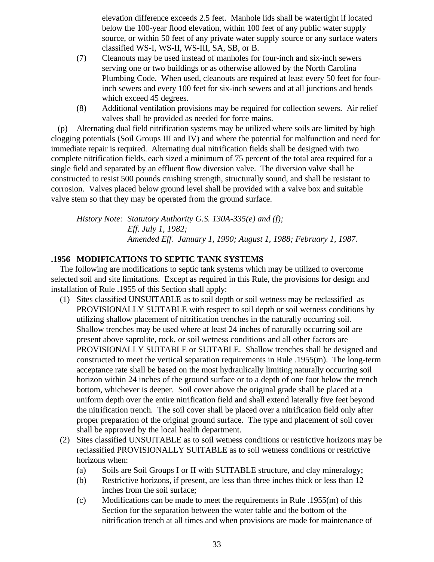elevation difference exceeds 2.5 feet. Manhole lids shall be watertight if located below the 100-year flood elevation, within 100 feet of any public water supply source, or within 50 feet of any private water supply source or any surface waters classified WS-I, WS-II, WS-III, SA, SB, or B.

- (7) Cleanouts may be used instead of manholes for four-inch and six-inch sewers serving one or two buildings or as otherwise allowed by the North Carolina Plumbing Code. When used, cleanouts are required at least every 50 feet for fourinch sewers and every 100 feet for six-inch sewers and at all junctions and bends which exceed 45 degrees.
- (8) Additional ventilation provisions may be required for collection sewers. Air relief valves shall be provided as needed for force mains.

 (p) Alternating dual field nitrification systems may be utilized where soils are limited by high clogging potentials (Soil Groups III and IV) and where the potential for malfunction and need for immediate repair is required. Alternating dual nitrification fields shall be designed with two complete nitrification fields, each sized a minimum of 75 percent of the total area required for a single field and separated by an effluent flow diversion valve. The diversion valve shall be constructed to resist 500 pounds crushing strength, structurally sound, and shall be resistant to corrosion. Valves placed below ground level shall be provided with a valve box and suitable valve stem so that they may be operated from the ground surface.

*History Note: Statutory Authority G.S. 130A-335(e) and (f); Eff. July 1, 1982; Amended Eff. January 1, 1990; August 1, 1988; February 1, 1987.*

## **.1956 MODIFICATIONS TO SEPTIC TANK SYSTEMS**

 The following are modifications to septic tank systems which may be utilized to overcome selected soil and site limitations. Except as required in this Rule, the provisions for design and installation of Rule .1955 of this Section shall apply:

- (1) Sites classified UNSUITABLE as to soil depth or soil wetness may be reclassified as PROVISIONALLY SUITABLE with respect to soil depth or soil wetness conditions by utilizing shallow placement of nitrification trenches in the naturally occurring soil. Shallow trenches may be used where at least 24 inches of naturally occurring soil are present above saprolite, rock, or soil wetness conditions and all other factors are PROVISIONALLY SUITABLE or SUITABLE. Shallow trenches shall be designed and constructed to meet the vertical separation requirements in Rule .1955(m). The long-term acceptance rate shall be based on the most hydraulically limiting naturally occurring soil horizon within 24 inches of the ground surface or to a depth of one foot below the trench bottom, whichever is deeper. Soil cover above the original grade shall be placed at a uniform depth over the entire nitrification field and shall extend laterally five feet beyond the nitrification trench. The soil cover shall be placed over a nitrification field only after proper preparation of the original ground surface. The type and placement of soil cover shall be approved by the local health department.
- (2) Sites classified UNSUITABLE as to soil wetness conditions or restrictive horizons may be reclassified PROVISIONALLY SUITABLE as to soil wetness conditions or restrictive horizons when:
	- (a) Soils are Soil Groups I or II with SUITABLE structure, and clay mineralogy;
	- (b) Restrictive horizons, if present, are less than three inches thick or less than 12 inches from the soil surface;
	- (c) Modifications can be made to meet the requirements in Rule .1955(m) of this Section for the separation between the water table and the bottom of the nitrification trench at all times and when provisions are made for maintenance of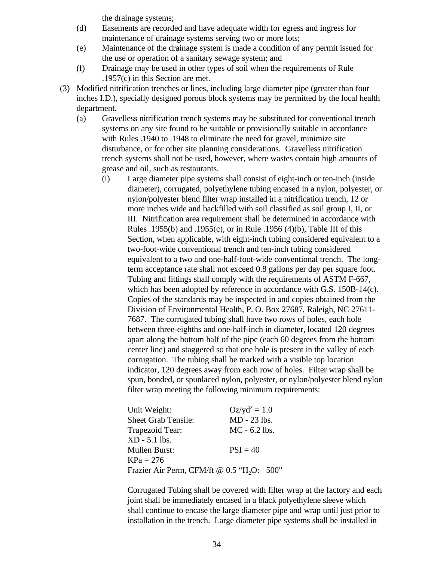the drainage systems;

- (d) Easements are recorded and have adequate width for egress and ingress for maintenance of drainage systems serving two or more lots;
- (e) Maintenance of the drainage system is made a condition of any permit issued for the use or operation of a sanitary sewage system; and
- (f) Drainage may be used in other types of soil when the requirements of Rule .1957(c) in this Section are met.
- (3) Modified nitrification trenches or lines, including large diameter pipe (greater than four inches I.D.), specially designed porous block systems may be permitted by the local health department.
	- (a) Gravelless nitrification trench systems may be substituted for conventional trench systems on any site found to be suitable or provisionally suitable in accordance with Rules .1940 to .1948 to eliminate the need for gravel, minimize site disturbance, or for other site planning considerations. Gravelless nitrification trench systems shall not be used, however, where wastes contain high amounts of grease and oil, such as restaurants.
		- (i) Large diameter pipe systems shall consist of eight-inch or ten-inch (inside diameter), corrugated, polyethylene tubing encased in a nylon, polyester, or nylon/polyester blend filter wrap installed in a nitrification trench, 12 or more inches wide and backfilled with soil classified as soil group I, II, or III. Nitrification area requirement shall be determined in accordance with Rules .1955(b) and .1955(c), or in Rule .1956 (4)(b), Table III of this Section, when applicable, with eight-inch tubing considered equivalent to a two-foot-wide conventional trench and ten-inch tubing considered equivalent to a two and one-half-foot-wide conventional trench. The longterm acceptance rate shall not exceed 0.8 gallons per day per square foot. Tubing and fittings shall comply with the requirements of ASTM F-667, which has been adopted by reference in accordance with G.S. 150B-14(c). Copies of the standards may be inspected in and copies obtained from the Division of Environmental Health, P. O. Box 27687, Raleigh, NC 27611- 7687. The corrugated tubing shall have two rows of holes, each hole between three-eighths and one-half-inch in diameter, located 120 degrees apart along the bottom half of the pipe (each 60 degrees from the bottom center line) and staggered so that one hole is present in the valley of each corrugation. The tubing shall be marked with a visible top location indicator, 120 degrees away from each row of holes. Filter wrap shall be spun, bonded, or spunlaced nylon, polyester, or nylon/polyester blend nylon filter wrap meeting the following minimum requirements:

| Unit Weight:                                           | $Oz/yd^2 = 1.0$ |
|--------------------------------------------------------|-----------------|
| <b>Sheet Grab Tensile:</b>                             | MD - 23 lbs.    |
| Trapezoid Tear:                                        | $MC - 6.2$ lbs. |
| XD - 5.1 lbs.                                          |                 |
| <b>Mullen Burst:</b>                                   | $PSI = 40$      |
| KPa = 276                                              |                 |
| Frazier Air Perm, CFM/ft @ 0.5 "H <sub>2</sub> O: 500" |                 |
|                                                        |                 |

Corrugated Tubing shall be covered with filter wrap at the factory and each joint shall be immediately encased in a black polyethylene sleeve which shall continue to encase the large diameter pipe and wrap until just prior to installation in the trench. Large diameter pipe systems shall be installed in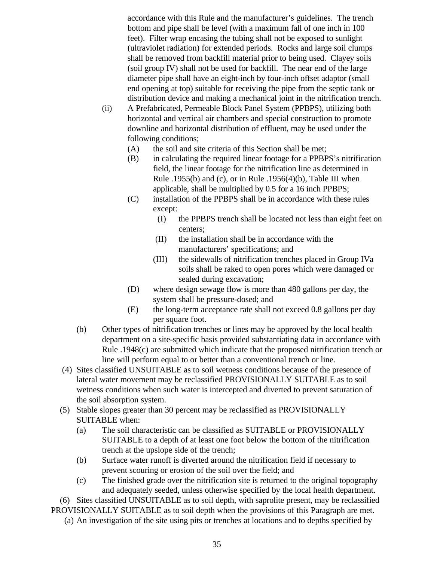accordance with this Rule and the manufacturer's guidelines. The trench bottom and pipe shall be level (with a maximum fall of one inch in 100 feet). Filter wrap encasing the tubing shall not be exposed to sunlight (ultraviolet radiation) for extended periods. Rocks and large soil clumps shall be removed from backfill material prior to being used. Clayey soils (soil group IV) shall not be used for backfill. The near end of the large diameter pipe shall have an eight-inch by four-inch offset adaptor (small end opening at top) suitable for receiving the pipe from the septic tank or distribution device and making a mechanical joint in the nitrification trench.

- (ii) A Prefabricated, Permeable Block Panel System (PPBPS), utilizing both horizontal and vertical air chambers and special construction to promote downline and horizontal distribution of effluent, may be used under the following conditions;
	- (A) the soil and site criteria of this Section shall be met;
	- (B) in calculating the required linear footage for a PPBPS's nitrification field, the linear footage for the nitrification line as determined in Rule .1955(b) and (c), or in Rule .1956(4)(b), Table III when applicable, shall be multiplied by 0.5 for a 16 inch PPBPS;
	- (C) installation of the PPBPS shall be in accordance with these rules except:
		- (I) the PPBPS trench shall be located not less than eight feet on centers;
		- (II) the installation shall be in accordance with the manufacturers' specifications; and
		- (III) the sidewalls of nitrification trenches placed in Group IVa soils shall be raked to open pores which were damaged or sealed during excavation;
	- (D) where design sewage flow is more than 480 gallons per day, the system shall be pressure-dosed; and
	- (E) the long-term acceptance rate shall not exceed 0.8 gallons per day per square foot.
- (b) Other types of nitrification trenches or lines may be approved by the local health department on a site-specific basis provided substantiating data in accordance with Rule .1948(c) are submitted which indicate that the proposed nitrification trench or line will perform equal to or better than a conventional trench or line.
- (4) Sites classified UNSUITABLE as to soil wetness conditions because of the presence of lateral water movement may be reclassified PROVISIONALLY SUITABLE as to soil wetness conditions when such water is intercepted and diverted to prevent saturation of the soil absorption system.
- (5) Stable slopes greater than 30 percent may be reclassified as PROVISIONALLY SUITABLE when:
	- (a) The soil characteristic can be classified as SUITABLE or PROVISIONALLY SUITABLE to a depth of at least one foot below the bottom of the nitrification trench at the upslope side of the trench;
	- (b) Surface water runoff is diverted around the nitrification field if necessary to prevent scouring or erosion of the soil over the field; and
	- (c) The finished grade over the nitrification site is returned to the original topography and adequately seeded, unless otherwise specified by the local health department.

 (6) Sites classified UNSUITABLE as to soil depth, with saprolite present, may be reclassified PROVISIONALLY SUITABLE as to soil depth when the provisions of this Paragraph are met.

(a) An investigation of the site using pits or trenches at locations and to depths specified by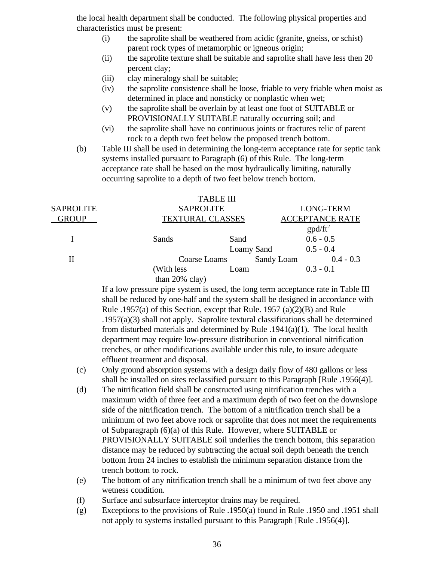the local health department shall be conducted. The following physical properties and characteristics must be present:

- (i) the saprolite shall be weathered from acidic (granite, gneiss, or schist) parent rock types of metamorphic or igneous origin;
- (ii) the saprolite texture shall be suitable and saprolite shall have less then 20 percent clay;
- (iii) clay mineralogy shall be suitable;
- (iv) the saprolite consistence shall be loose, friable to very friable when moist as determined in place and nonsticky or nonplastic when wet;
- (v) the saprolite shall be overlain by at least one foot of SUITABLE or PROVISIONALLY SUITABLE naturally occurring soil; and
- (vi) the saprolite shall have no continuous joints or fractures relic of parent rock to a depth two feet below the proposed trench bottom.
- (b) Table III shall be used in determining the long-term acceptance rate for septic tank systems installed pursuant to Paragraph (6) of this Rule. The long-term acceptance rate shall be based on the most hydraulically limiting, naturally occurring saprolite to a depth of two feet below trench bottom.

|                  |                         | <b>TABLE III</b>  |            |                        |  |
|------------------|-------------------------|-------------------|------------|------------------------|--|
| <b>SAPROLITE</b> | <b>SAPROLITE</b>        |                   |            | <b>LONG-TERM</b>       |  |
| <b>GROUP</b>     | <b>TEXTURAL CLASSES</b> |                   |            | <b>ACCEPTANCE RATE</b> |  |
|                  |                         |                   |            | $\text{gpd/ft}^2$      |  |
|                  | Sands                   | Sand              |            | $0.6 - 0.5$            |  |
|                  |                         | <b>Loamy Sand</b> |            | $0.5 - 0.4$            |  |
| Н                | Coarse Loams            |                   | Sandy Loam | $0.4 - 0.3$            |  |
|                  | (With less)             | Loam              |            | $0.3 - 0.1$            |  |
|                  | than $20\%$ clay)       |                   |            |                        |  |

If a low pressure pipe system is used, the long term acceptance rate in Table III shall be reduced by one-half and the system shall be designed in accordance with Rule .1957(a) of this Section, except that Rule. 1957 (a)(2)(B) and Rule .1957(a)(3) shall not apply. Saprolite textural classifications shall be determined from disturbed materials and determined by Rule  $.1941(a)(1)$ . The local health department may require low-pressure distribution in conventional nitrification trenches, or other modifications available under this rule, to insure adequate effluent treatment and disposal.

- (c) Only ground absorption systems with a design daily flow of 480 gallons or less shall be installed on sites reclassified pursuant to this Paragraph [Rule .1956(4)].
- (d) The nitrification field shall be constructed using nitrification trenches with a maximum width of three feet and a maximum depth of two feet on the downslope side of the nitrification trench. The bottom of a nitrification trench shall be a minimum of two feet above rock or saprolite that does not meet the requirements of Subparagraph (6)(a) of this Rule. However, where SUITABLE or PROVISIONALLY SUITABLE soil underlies the trench bottom, this separation distance may be reduced by subtracting the actual soil depth beneath the trench bottom from 24 inches to establish the minimum separation distance from the trench bottom to rock.
- (e) The bottom of any nitrification trench shall be a minimum of two feet above any wetness condition.
- (f) Surface and subsurface interceptor drains may be required.
- (g) Exceptions to the provisions of Rule .1950(a) found in Rule .1950 and .1951 shall not apply to systems installed pursuant to this Paragraph [Rule .1956(4)].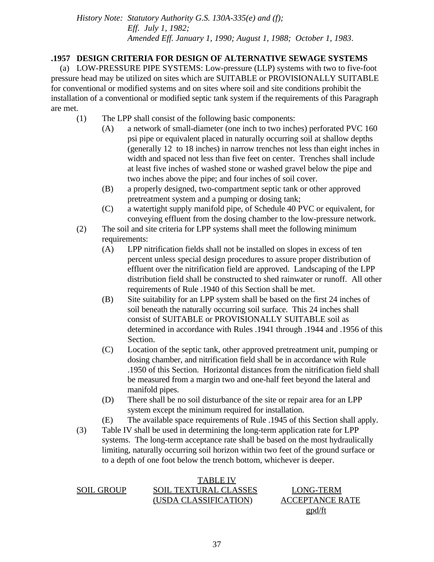*History Note: Statutory Authority G.S. 130A-335(e) and (f); Eff. July 1, 1982; Amended Eff. January 1, 1990; August 1, 1988; October 1, 1983*.

## **.1957 DESIGN CRITERIA FOR DESIGN OF ALTERNATIVE SEWAGE SYSTEMS**

 (a) LOW-PRESSURE PIPE SYSTEMS: Low-pressure (LLP) systems with two to five-foot pressure head may be utilized on sites which are SUITABLE or PROVISIONALLY SUITABLE for conventional or modified systems and on sites where soil and site conditions prohibit the installation of a conventional or modified septic tank system if the requirements of this Paragraph are met.

- (1) The LPP shall consist of the following basic components:
	- (A) a network of small-diameter (one inch to two inches) perforated PVC 160 psi pipe or equivalent placed in naturally occurring soil at shallow depths (generally 12 to 18 inches) in narrow trenches not less than eight inches in width and spaced not less than five feet on center. Trenches shall include at least five inches of washed stone or washed gravel below the pipe and two inches above the pipe; and four inches of soil cover.
	- (B) a properly designed, two-compartment septic tank or other approved pretreatment system and a pumping or dosing tank;
	- (C) a watertight supply manifold pipe, of Schedule 40 PVC or equivalent, for conveying effluent from the dosing chamber to the low-pressure network.
- (2) The soil and site criteria for LPP systems shall meet the following minimum requirements:
	- (A) LPP nitrification fields shall not be installed on slopes in excess of ten percent unless special design procedures to assure proper distribution of effluent over the nitrification field are approved. Landscaping of the LPP distribution field shall be constructed to shed rainwater or runoff. All other requirements of Rule .1940 of this Section shall be met.
	- (B) Site suitability for an LPP system shall be based on the first 24 inches of soil beneath the naturally occurring soil surface. This 24 inches shall consist of SUITABLE or PROVISIONALLY SUITABLE soil as determined in accordance with Rules .1941 through .1944 and .1956 of this Section.
	- (C) Location of the septic tank, other approved pretreatment unit, pumping or dosing chamber, and nitrification field shall be in accordance with Rule .1950 of this Section. Horizontal distances from the nitrification field shall be measured from a margin two and one-half feet beyond the lateral and manifold pipes.
	- (D) There shall be no soil disturbance of the site or repair area for an LPP system except the minimum required for installation.
	- (E) The available space requirements of Rule .1945 of this Section shall apply.
- (3) Table IV shall be used in determining the long-term application rate for LPP systems. The long-term acceptance rate shall be based on the most hydraulically limiting, naturally occurring soil horizon within two feet of the ground surface or to a depth of one foot below the trench bottom, whichever is deeper.

|                   | TABLE IV                     |                        |
|-------------------|------------------------------|------------------------|
| <b>SOIL GROUP</b> | <b>SOIL TEXTURAL CLASSES</b> | LONG-TERM              |
|                   | (USDA CLASSIFICATION)        | <b>ACCEPTANCE RATE</b> |
|                   |                              | <u>gpd/ft</u>          |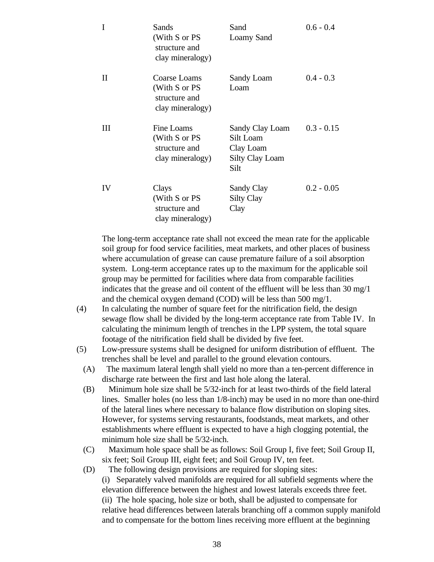| I        | Sands<br>(With S or PS<br>structure and<br>clay mineralogy)        | Sand<br>Loamy Sand                                                          | $0.6 - 0.4$  |
|----------|--------------------------------------------------------------------|-----------------------------------------------------------------------------|--------------|
| $\rm II$ | Coarse Loams<br>(With S or PS<br>structure and<br>clay mineralogy) | Sandy Loam<br>Loam                                                          | $0.4 - 0.3$  |
| Ш        | Fine Loams<br>(With S or PS<br>structure and<br>clay mineralogy)   | Sandy Clay Loam<br>Silt Loam<br>Clay Loam<br><b>Silty Clay Loam</b><br>Silt | $0.3 - 0.15$ |
| IV       | Clays<br>(With S or PS<br>structure and<br>clay mineralogy)        | Sandy Clay<br><b>Silty Clay</b><br>Clay                                     | $0.2 - 0.05$ |

The long-term acceptance rate shall not exceed the mean rate for the applicable soil group for food service facilities, meat markets, and other places of business where accumulation of grease can cause premature failure of a soil absorption system. Long-term acceptance rates up to the maximum for the applicable soil group may be permitted for facilities where data from comparable facilities indicates that the grease and oil content of the effluent will be less than 30 mg/1 and the chemical oxygen demand (COD) will be less than 500 mg/1.

- (4) In calculating the number of square feet for the nitrification field, the design sewage flow shall be divided by the long-term acceptance rate from Table IV. In calculating the minimum length of trenches in the LPP system, the total square footage of the nitrification field shall be divided by five feet.
- (5) Low-pressure systems shall be designed for uniform distribution of effluent. The trenches shall be level and parallel to the ground elevation contours.
	- (A) The maximum lateral length shall yield no more than a ten-percent difference in discharge rate between the first and last hole along the lateral.
	- (B) Minimum hole size shall be 5/32-inch for at least two-thirds of the field lateral lines. Smaller holes (no less than 1/8-inch) may be used in no more than one-third of the lateral lines where necessary to balance flow distribution on sloping sites. However, for systems serving restaurants, foodstands, meat markets, and other establishments where effluent is expected to have a high clogging potential, the minimum hole size shall be 5/32-inch.
	- (C) Maximum hole space shall be as follows: Soil Group I, five feet; Soil Group II, six feet; Soil Group III, eight feet; and Soil Group IV, ten feet.
	- (D) The following design provisions are required for sloping sites: (i) Separately valved manifolds are required for all subfield segments where the elevation difference between the highest and lowest laterals exceeds three feet. (ii) The hole spacing, hole size or both, shall be adjusted to compensate for relative head differences between laterals branching off a common supply manifold and to compensate for the bottom lines receiving more effluent at the beginning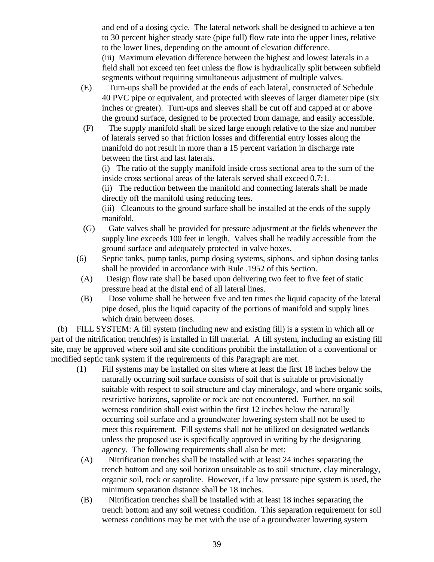and end of a dosing cycle. The lateral network shall be designed to achieve a ten to 30 percent higher steady state (pipe full) flow rate into the upper lines, relative to the lower lines, depending on the amount of elevation difference. (iii) Maximum elevation difference between the highest and lowest laterals in a field shall not exceed ten feet unless the flow is hydraulically split between subfield segments without requiring simultaneous adjustment of multiple valves.

- (E) Turn-ups shall be provided at the ends of each lateral, constructed of Schedule 40 PVC pipe or equivalent, and protected with sleeves of larger diameter pipe (six inches or greater). Turn-ups and sleeves shall be cut off and capped at or above the ground surface, designed to be protected from damage, and easily accessible.
- (F) The supply manifold shall be sized large enough relative to the size and number of laterals served so that friction losses and differential entry losses along the manifold do not result in more than a 15 percent variation in discharge rate between the first and last laterals.

(i) The ratio of the supply manifold inside cross sectional area to the sum of the inside cross sectional areas of the laterals served shall exceed 0.7:1.

(ii) The reduction between the manifold and connecting laterals shall be made directly off the manifold using reducing tees.

(iii) Cleanouts to the ground surface shall be installed at the ends of the supply manifold.

- (G) Gate valves shall be provided for pressure adjustment at the fields whenever the supply line exceeds 100 feet in length. Valves shall be readily accessible from the ground surface and adequately protected in valve boxes.
- (6) Septic tanks, pump tanks, pump dosing systems, siphons, and siphon dosing tanks shall be provided in accordance with Rule .1952 of this Section.
- (A) Design flow rate shall be based upon delivering two feet to five feet of static pressure head at the distal end of all lateral lines.
- (B) Dose volume shall be between five and ten times the liquid capacity of the lateral pipe dosed, plus the liquid capacity of the portions of manifold and supply lines which drain between doses.

 (b) FILL SYSTEM: A fill system (including new and existing fill) is a system in which all or part of the nitrification trench(es) is installed in fill material. A fill system, including an existing fill site, may be approved where soil and site conditions prohibit the installation of a conventional or modified septic tank system if the requirements of this Paragraph are met.

- (1) Fill systems may be installed on sites where at least the first 18 inches below the naturally occurring soil surface consists of soil that is suitable or provisionally suitable with respect to soil structure and clay mineralogy, and where organic soils, restrictive horizons, saprolite or rock are not encountered. Further, no soil wetness condition shall exist within the first 12 inches below the naturally occurring soil surface and a groundwater lowering system shall not be used to meet this requirement. Fill systems shall not be utilized on designated wetlands unless the proposed use is specifically approved in writing by the designating agency. The following requirements shall also be met:
- (A) Nitrification trenches shall be installed with at least 24 inches separating the trench bottom and any soil horizon unsuitable as to soil structure, clay mineralogy, organic soil, rock or saprolite. However, if a low pressure pipe system is used, the minimum separation distance shall be 18 inches.
- (B) Nitrification trenches shall be installed with at least 18 inches separating the trench bottom and any soil wetness condition. This separation requirement for soil wetness conditions may be met with the use of a groundwater lowering system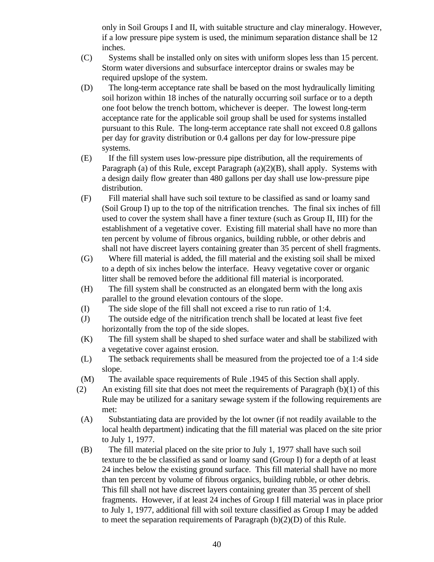only in Soil Groups I and II, with suitable structure and clay mineralogy. However, if a low pressure pipe system is used, the minimum separation distance shall be 12 inches.

- (C) Systems shall be installed only on sites with uniform slopes less than 15 percent. Storm water diversions and subsurface interceptor drains or swales may be required upslope of the system.
- (D) The long-term acceptance rate shall be based on the most hydraulically limiting soil horizon within 18 inches of the naturally occurring soil surface or to a depth one foot below the trench bottom, whichever is deeper. The lowest long-term acceptance rate for the applicable soil group shall be used for systems installed pursuant to this Rule. The long-term acceptance rate shall not exceed 0.8 gallons per day for gravity distribution or 0.4 gallons per day for low-pressure pipe systems.
- (E) If the fill system uses low-pressure pipe distribution, all the requirements of Paragraph (a) of this Rule, except Paragraph (a)(2)(B), shall apply. Systems with a design daily flow greater than 480 gallons per day shall use low-pressure pipe distribution.
- (F) Fill material shall have such soil texture to be classified as sand or loamy sand (Soil Group I) up to the top of the nitrification trenches. The final six inches of fill used to cover the system shall have a finer texture (such as Group II, III) for the establishment of a vegetative cover. Existing fill material shall have no more than ten percent by volume of fibrous organics, building rubble, or other debris and shall not have discreet layers containing greater than 35 percent of shell fragments.
- (G) Where fill material is added, the fill material and the existing soil shall be mixed to a depth of six inches below the interface. Heavy vegetative cover or organic litter shall be removed before the additional fill material is incorporated.
- (H) The fill system shall be constructed as an elongated berm with the long axis parallel to the ground elevation contours of the slope.
- (I) The side slope of the fill shall not exceed a rise to run ratio of 1:4.
- (J) The outside edge of the nitrification trench shall be located at least five feet horizontally from the top of the side slopes.
- (K) The fill system shall be shaped to shed surface water and shall be stabilized with a vegetative cover against erosion.
- (L) The setback requirements shall be measured from the projected toe of a 1:4 side slope.
- (M) The available space requirements of Rule .1945 of this Section shall apply.
- (2) An existing fill site that does not meet the requirements of Paragraph  $(b)(1)$  of this Rule may be utilized for a sanitary sewage system if the following requirements are met:
- (A) Substantiating data are provided by the lot owner (if not readily available to the local health department) indicating that the fill material was placed on the site prior to July 1, 1977.
- (B) The fill material placed on the site prior to July 1, 1977 shall have such soil texture to the be classified as sand or loamy sand (Group I) for a depth of at least 24 inches below the existing ground surface. This fill material shall have no more than ten percent by volume of fibrous organics, building rubble, or other debris. This fill shall not have discreet layers containing greater than 35 percent of shell fragments. However, if at least 24 inches of Group I fill material was in place prior to July 1, 1977, additional fill with soil texture classified as Group I may be added to meet the separation requirements of Paragraph (b)(2)(D) of this Rule.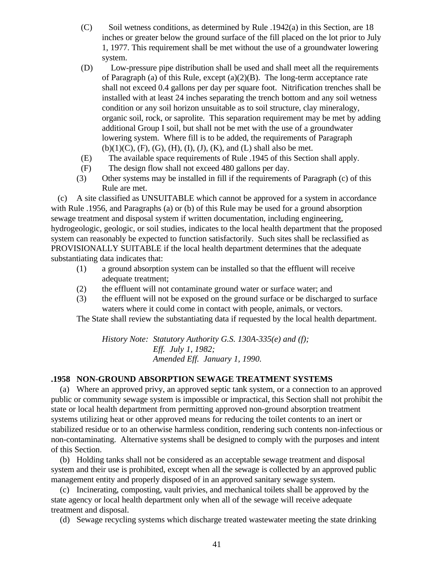- $(C)$  Soil wetness conditions, as determined by Rule .1942(a) in this Section, are 18 inches or greater below the ground surface of the fill placed on the lot prior to July 1, 1977. This requirement shall be met without the use of a groundwater lowering system.
- (D) Low-pressure pipe distribution shall be used and shall meet all the requirements of Paragraph (a) of this Rule, except (a)(2)(B). The long-term acceptance rate shall not exceed 0.4 gallons per day per square foot. Nitrification trenches shall be installed with at least 24 inches separating the trench bottom and any soil wetness condition or any soil horizon unsuitable as to soil structure, clay mineralogy, organic soil, rock, or saprolite. This separation requirement may be met by adding additional Group I soil, but shall not be met with the use of a groundwater lowering system. Where fill is to be added, the requirements of Paragraph  $(b)(1)(C)$ ,  $(F)$ ,  $(G)$ ,  $(H)$ ,  $(I)$ ,  $(J)$ ,  $(K)$ , and  $(L)$  shall also be met.
- (E) The available space requirements of Rule .1945 of this Section shall apply.
- (F) The design flow shall not exceed 480 gallons per day.
- (3) Other systems may be installed in fill if the requirements of Paragraph (c) of this Rule are met.

 (c) A site classified as UNSUITABLE which cannot be approved for a system in accordance with Rule .1956, and Paragraphs (a) or (b) of this Rule may be used for a ground absorption sewage treatment and disposal system if written documentation, including engineering, hydrogeologic, geologic, or soil studies, indicates to the local health department that the proposed system can reasonably be expected to function satisfactorily. Such sites shall be reclassified as PROVISIONALLY SUITABLE if the local health department determines that the adequate substantiating data indicates that:

- (1) a ground absorption system can be installed so that the effluent will receive adequate treatment;
- (2) the effluent will not contaminate ground water or surface water; and
- (3) the effluent will not be exposed on the ground surface or be discharged to surface waters where it could come in contact with people, animals, or vectors.

The State shall review the substantiating data if requested by the local health department.

*History Note: Statutory Authority G.S. 130A-335(e) and (f); Eff. July 1, 1982; Amended Eff. January 1, 1990.*

## **.1958 NON-GROUND ABSORPTION SEWAGE TREATMENT SYSTEMS**

 (a) Where an approved privy, an approved septic tank system, or a connection to an approved public or community sewage system is impossible or impractical, this Section shall not prohibit the state or local health department from permitting approved non-ground absorption treatment systems utilizing heat or other approved means for reducing the toilet contents to an inert or stabilized residue or to an otherwise harmless condition, rendering such contents non-infectious or non-contaminating. Alternative systems shall be designed to comply with the purposes and intent of this Section.

 (b) Holding tanks shall not be considered as an acceptable sewage treatment and disposal system and their use is prohibited, except when all the sewage is collected by an approved public management entity and properly disposed of in an approved sanitary sewage system.

 (c) Incinerating, composting, vault privies, and mechanical toilets shall be approved by the state agency or local health department only when all of the sewage will receive adequate treatment and disposal.

(d) Sewage recycling systems which discharge treated wastewater meeting the state drinking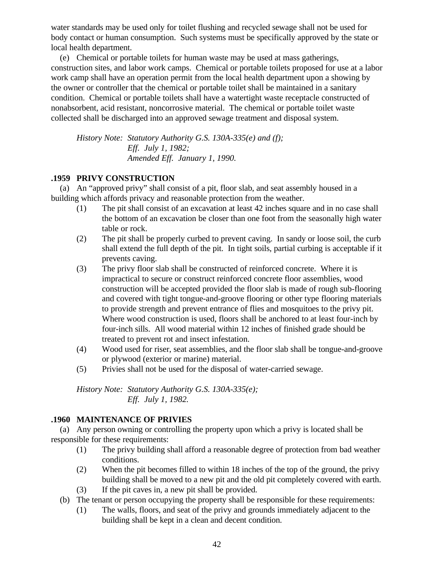water standards may be used only for toilet flushing and recycled sewage shall not be used for body contact or human consumption. Such systems must be specifically approved by the state or local health department.

 (e) Chemical or portable toilets for human waste may be used at mass gatherings, construction sites, and labor work camps. Chemical or portable toilets proposed for use at a labor work camp shall have an operation permit from the local health department upon a showing by the owner or controller that the chemical or portable toilet shall be maintained in a sanitary condition. Chemical or portable toilets shall have a watertight waste receptacle constructed of nonabsorbent, acid resistant, noncorrosive material. The chemical or portable toilet waste collected shall be discharged into an approved sewage treatment and disposal system.

*History Note: Statutory Authority G.S. 130A-335(e) and (f); Eff. July 1, 1982; Amended Eff. January 1, 1990.*

## **.1959 PRIVY CONSTRUCTION**

 (a) An "approved privy" shall consist of a pit, floor slab, and seat assembly housed in a building which affords privacy and reasonable protection from the weather.

- (1) The pit shall consist of an excavation at least 42 inches square and in no case shall the bottom of an excavation be closer than one foot from the seasonally high water table or rock.
- (2) The pit shall be properly curbed to prevent caving. In sandy or loose soil, the curb shall extend the full depth of the pit. In tight soils, partial curbing is acceptable if it prevents caving.
- (3) The privy floor slab shall be constructed of reinforced concrete. Where it is impractical to secure or construct reinforced concrete floor assemblies, wood construction will be accepted provided the floor slab is made of rough sub-flooring and covered with tight tongue-and-groove flooring or other type flooring materials to provide strength and prevent entrance of flies and mosquitoes to the privy pit. Where wood construction is used, floors shall be anchored to at least four-inch by four-inch sills. All wood material within 12 inches of finished grade should be treated to prevent rot and insect infestation.
- (4) Wood used for riser, seat assemblies, and the floor slab shall be tongue-and-groove or plywood (exterior or marine) material.
- (5) Privies shall not be used for the disposal of water-carried sewage.

*History Note: Statutory Authority G.S. 130A-335(e); Eff. July 1, 1982.*

## **.1960 MAINTENANCE OF PRIVIES**

 (a) Any person owning or controlling the property upon which a privy is located shall be responsible for these requirements:

- (1) The privy building shall afford a reasonable degree of protection from bad weather conditions.
- (2) When the pit becomes filled to within 18 inches of the top of the ground, the privy building shall be moved to a new pit and the old pit completely covered with earth.
- (3) If the pit caves in, a new pit shall be provided.
- (b) The tenant or person occupying the property shall be responsible for these requirements:
	- (1) The walls, floors, and seat of the privy and grounds immediately adjacent to the building shall be kept in a clean and decent condition.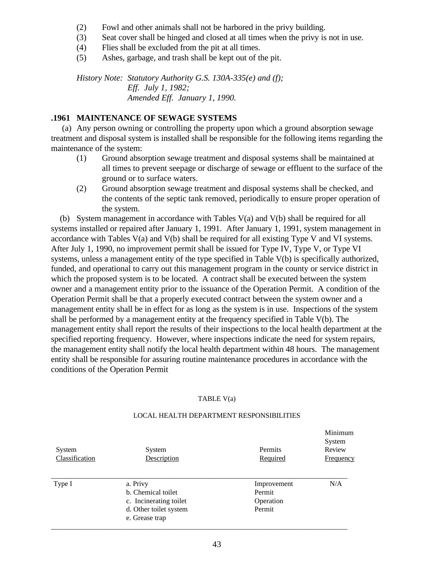- (2) Fowl and other animals shall not be harbored in the privy building.
- (3) Seat cover shall be hinged and closed at all times when the privy is not in use.
- (4) Flies shall be excluded from the pit at all times.
- (5) Ashes, garbage, and trash shall be kept out of the pit.

*History Note: Statutory Authority G.S. 130A-335(e) and (f); Eff. July 1, 1982; Amended Eff. January 1, 1990.*

## **.1961 MAINTENANCE OF SEWAGE SYSTEMS**

 (a) Any person owning or controlling the property upon which a ground absorption sewage treatment and disposal system is installed shall be responsible for the following items regarding the maintenance of the system:

- (1) Ground absorption sewage treatment and disposal systems shall be maintained at all times to prevent seepage or discharge of sewage or effluent to the surface of the ground or to surface waters.
- (2) Ground absorption sewage treatment and disposal systems shall be checked, and the contents of the septic tank removed, periodically to ensure proper operation of the system.

 (b) System management in accordance with Tables V(a) and V(b) shall be required for all systems installed or repaired after January 1, 1991. After January 1, 1991, system management in accordance with Tables V(a) and V(b) shall be required for all existing Type V and VI systems. After July 1, 1990, no improvement permit shall be issued for Type IV, Type V, or Type VI systems, unless a management entity of the type specified in Table V(b) is specifically authorized, funded, and operational to carry out this management program in the county or service district in which the proposed system is to be located. A contract shall be executed between the system owner and a management entity prior to the issuance of the Operation Permit. A condition of the Operation Permit shall be that a properly executed contract between the system owner and a management entity shall be in effect for as long as the system is in use. Inspections of the system shall be performed by a management entity at the frequency specified in Table V(b). The management entity shall report the results of their inspections to the local health department at the specified reporting frequency. However, where inspections indicate the need for system repairs, the management entity shall notify the local health department within 48 hours. The management entity shall be responsible for assuring routine maintenance procedures in accordance with the conditions of the Operation Permit

#### TABLE V(a)

| System<br>Classification | System<br>Description                                                                                | Permits<br>Required                          | System<br>Review<br>Frequency |
|--------------------------|------------------------------------------------------------------------------------------------------|----------------------------------------------|-------------------------------|
| Type I                   | a. Privy<br>b. Chemical toilet<br>c. Incinerating toilet<br>d. Other toilet system<br>e. Grease trap | Improvement<br>Permit<br>Operation<br>Permit | N/A                           |

#### LOCAL HEALTH DEPARTMENT RESPONSIBILITIES

Minimum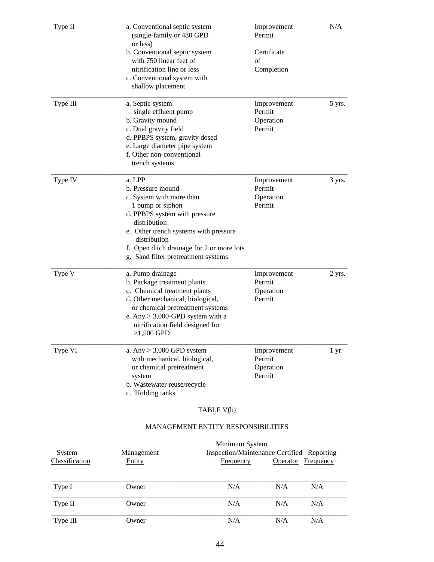| Type II                  | a. Conventional septic system<br>(single-family or 480 GPD<br>or less)                                                                                                                                                                                                    |                                           | Improvement<br>Permit                                                              | N/A    |
|--------------------------|---------------------------------------------------------------------------------------------------------------------------------------------------------------------------------------------------------------------------------------------------------------------------|-------------------------------------------|------------------------------------------------------------------------------------|--------|
|                          | b. Conventional septic system<br>with 750 linear feet of<br>nitrification line or less<br>c. Conventional system with<br>shallow placement                                                                                                                                |                                           | Certificate<br>of<br>Completion                                                    |        |
| Type III                 | a. Septic system<br>single effluent pump<br>b. Gravity mound<br>c. Dual gravity field<br>d. PPBPS system, gravity dosed<br>e. Large diameter pipe system<br>f. Other non-conventional<br>trench systems                                                                   |                                           | Improvement<br>Permit<br>Operation<br>Permit                                       | 5 yrs. |
| Type IV                  | a. LPP<br>b. Pressure mound<br>c. System with more than<br>1 pump or siphon<br>d. PPBPS system with pressure<br>distribution<br>e. Other trench systems with pressure<br>distribution<br>f. Open ditch drainage for 2 or more lots<br>g. Sand filter pretreatment systems |                                           | Improvement<br>Permit<br>Operation<br>Permit                                       | 3 yrs. |
| Type V                   | a. Pump drainage<br>b. Package treatment plants<br>c. Chemical treatment plants<br>d. Other mechanical, biological,<br>or chemical pretreatment systems<br>e. Any $> 3,000$ -GPD system with a<br>nitrification field designed for<br>$>1,500$ GPD                        |                                           | Improvement<br>Permit<br>Operation<br>Permit                                       | 2 yrs. |
| Type VI                  | a. Any $> 3,000$ GPD system<br>with mechanical, biological,<br>or chemical pretreatment<br>system<br>b. Wastewater reuse/recycle<br>c. Holding tanks                                                                                                                      |                                           | Improvement<br>Permit<br>Operation<br>Permit                                       | 1 yr.  |
|                          |                                                                                                                                                                                                                                                                           | TABLE V(b)                                |                                                                                    |        |
|                          |                                                                                                                                                                                                                                                                           | <b>MANAGEMENT ENTITY RESPONSIBILITIES</b> |                                                                                    |        |
| System<br>Classification | Management<br>Entity                                                                                                                                                                                                                                                      | Frequency                                 | Minimum System<br>Inspection/Maintenance Certified Reporting<br>Operator Frequency |        |

| Type I   | Owner | N/A | N/A | N/A |
|----------|-------|-----|-----|-----|
| Type II  | Owner | N/A | N/A | N/A |
| Type III | Owner | N/A | N/A | N/A |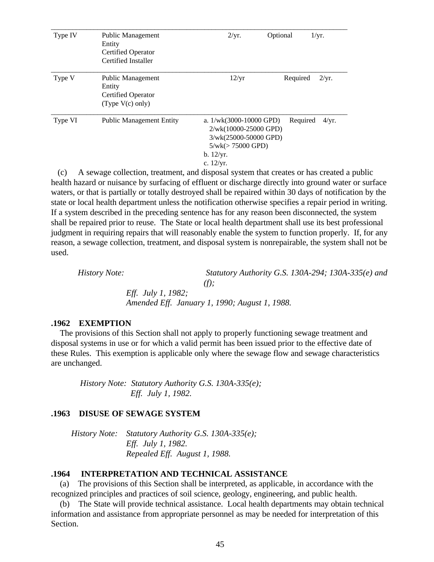| Type IV | Public Management<br>Entity<br><b>Certified Operator</b>                | 2/yr.                                                                                                                            | Optional | 1/yr. |
|---------|-------------------------------------------------------------------------|----------------------------------------------------------------------------------------------------------------------------------|----------|-------|
|         | Certified Installer                                                     |                                                                                                                                  |          |       |
| Type V  | Public Management<br>Entity<br>Certified Operator<br>(Type $V(c)$ only) | 12/yr                                                                                                                            | Required | 2/yr. |
| Type VI | <b>Public Management Entity</b>                                         | a. $1/wk(3000-10000$ GPD)<br>2/wk(10000-25000 GPD)<br>3/wk(25000-50000 GPD)<br>$5/wk (> 75000$ GPD)<br>b. 12/yr.<br>c. $12/yr$ . | Required | 4/yr. |

 (c) A sewage collection, treatment, and disposal system that creates or has created a public health hazard or nuisance by surfacing of effluent or discharge directly into ground water or surface waters, or that is partially or totally destroyed shall be repaired within 30 days of notification by the state or local health department unless the notification otherwise specifies a repair period in writing. If a system described in the preceding sentence has for any reason been disconnected, the system shall be repaired prior to reuse. The State or local health department shall use its best professional judgment in requiring repairs that will reasonably enable the system to function properly. If, for any reason, a sewage collection, treatment, and disposal system is nonrepairable, the system shall not be used.

 *History Note: Statutory Authority G.S. 130A-294; 130A-335(e) and (f); Eff. July 1, 1982; Amended Eff. January 1, 1990; August 1, 1988.*

#### **.1962 EXEMPTION**

 The provisions of this Section shall not apply to properly functioning sewage treatment and disposal systems in use or for which a valid permit has been issued prior to the effective date of these Rules. This exemption is applicable only where the sewage flow and sewage characteristics are unchanged.

 *History Note: Statutory Authority G.S. 130A-335(e); Eff. July 1, 1982.*

#### **.1963 DISUSE OF SEWAGE SYSTEM**

 *History Note: Statutory Authority G.S. 130A-335(e); Eff. July 1, 1982. Repealed Eff. August 1, 1988.*

#### **.1964 INTERPRETATION AND TECHNICAL ASSISTANCE**

 (a) The provisions of this Section shall be interpreted, as applicable, in accordance with the recognized principles and practices of soil science, geology, engineering, and public health.

 (b) The State will provide technical assistance. Local health departments may obtain technical information and assistance from appropriate personnel as may be needed for interpretation of this Section.